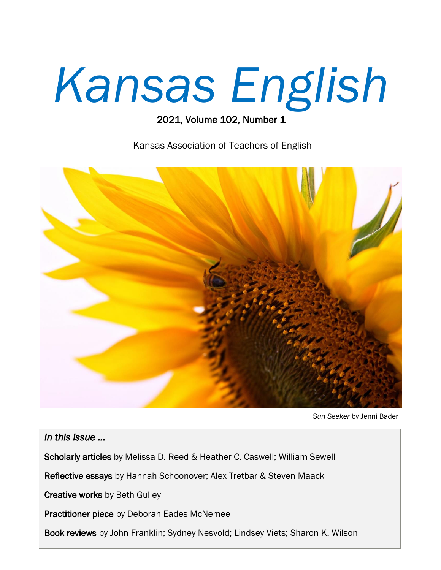# *Kansas English*

### 2021, Volume 102, Number 1

Kansas Association of Teachers of English



*Sun Seeker* by Jenni Bader

*In this issue …* 

Scholarly articles by Melissa D. Reed & Heather C. Caswell; William Sewell

Reflective essays by Hannah Schoonover; Alex Tretbar & Steven Maack

Creative works by Beth Gulley

Practitioner piece by Deborah Eades McNemee

Book reviews by John Franklin; Sydney Nesvold; Lindsey Viets; Sharon K. Wilson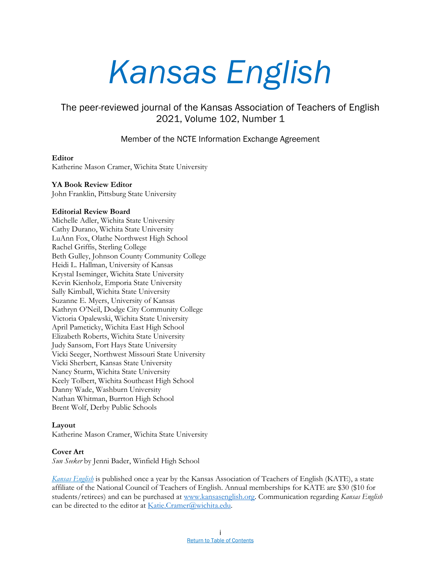## *Kansas English*

### The peer-reviewed journal of the Kansas Association of Teachers of English 2021, Volume 102, Number 1

### Member of the NCTE Information Exchange Agreement

### **Editor**

Katherine Mason Cramer, Wichita State University

### **YA Book Review Editor**

John Franklin, Pittsburg State University

### **Editorial Review Board**

Michelle Adler, Wichita State University Cathy Durano, Wichita State University LuAnn Fox, Olathe Northwest High School Rachel Griffis, Sterling College Beth Gulley, Johnson County Community College Heidi L. Hallman, University of Kansas Krystal Iseminger, Wichita State University Kevin Kienholz, Emporia State University Sally Kimball, Wichita State University Suzanne E. Myers, University of Kansas Kathryn O'Neil, Dodge City Community College Victoria Opalewski, Wichita State University April Pameticky, Wichita East High School Elizabeth Roberts, Wichita State University Judy Sansom, Fort Hays State University Vicki Seeger, Northwest Missouri State University Vicki Sherbert, Kansas State University Nancy Sturm, Wichita State University Keely Tolbert, Wichita Southeast High School Danny Wade, Washburn University Nathan Whitman, Burrton High School Brent Wolf, Derby Public Schools

### **Layout**

Katherine Mason Cramer, Wichita State University

### **Cover Art**

*Sun Seeker* by Jenni Bader, Winfield High School

*[Kansas English](https://sites.google.com/view/kansasenglish/home)* is published once a year by the Kansas Association of Teachers of English (KATE), a state affiliate of the National Council of Teachers of English. Annual memberships for KATE are \$30 (\$10 for students/retirees) and can be purchased at [www.kansasenglish.org.](http://www.kansasenglish.org/) Communication regarding *Kansas English*  can be directed to the editor at [Katie.Cramer@wichita.edu.](mailto:Katie.Cramer@wichita.edu)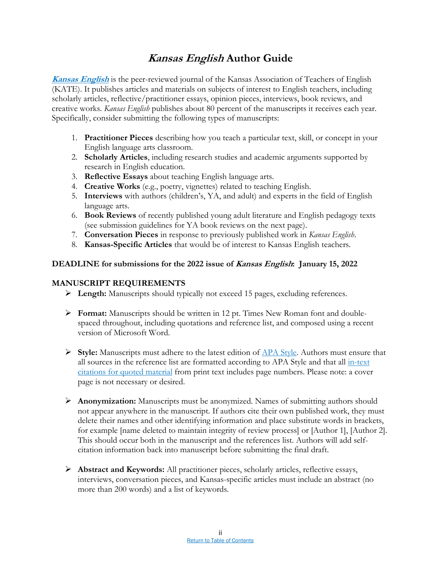### **Kansas English Author Guide**

**[Kansas English](https://sites.google.com/view/kansasenglish/home)** is the peer-reviewed journal of the Kansas Association of Teachers of English (KATE). It publishes articles and materials on subjects of interest to English teachers, including scholarly articles, reflective/practitioner essays, opinion pieces, interviews, book reviews, and creative works. *Kansas English* publishes about 80 percent of the manuscripts it receives each year. Specifically, consider submitting the following types of manuscripts:

- 1. **Practitioner Pieces** describing how you teach a particular text, skill, or concept in your English language arts classroom.
- 2. **Scholarly Articles**, including research studies and academic arguments supported by research in English education.
- 3. **Reflective Essays** about teaching English language arts.
- 4. **Creative Works** (e.g., poetry, vignettes) related to teaching English.
- 5. **Interviews** with authors (children's, YA, and adult) and experts in the field of English language arts.
- 6. **Book Reviews** of recently published young adult literature and English pedagogy texts (see submission guidelines for YA book reviews on the next page).
- 7. **Conversation Pieces** in response to previously published work in *Kansas English*.
- 8. **Kansas-Specific Articles** that would be of interest to Kansas English teachers.

### **DEADLINE for submissions for the 2022 issue of Kansas English: January 15, 2022**

### **MANUSCRIPT REQUIREMENTS**

- **Length:** Manuscripts should typically not exceed 15 pages, excluding references.
- **Format:** Manuscripts should be written in 12 pt. Times New Roman font and doublespaced throughout, including quotations and reference list, and composed using a recent version of Microsoft Word.
- **Style:** Manuscripts must adhere to the latest edition of [APA Style.](https://apastyle.apa.org/) Authors must ensure that all sources in the reference list are formatted according to APA Style and that all [in-text](https://apastyle.apa.org/style-grammar-guidelines/citations/quotations)  [citations for quoted material](https://apastyle.apa.org/style-grammar-guidelines/citations/quotations) from print text includes page numbers. Please note: a cover page is not necessary or desired.
- **Anonymization:** Manuscripts must be anonymized. Names of submitting authors should not appear anywhere in the manuscript. If authors cite their own published work, they must delete their names and other identifying information and place substitute words in brackets, for example [name deleted to maintain integrity of review process] or [Author 1], [Author 2]. This should occur both in the manuscript and the references list. Authors will add selfcitation information back into manuscript before submitting the final draft.
- **Abstract and Keywords:** All practitioner pieces, scholarly articles, reflective essays, interviews, conversation pieces, and Kansas-specific articles must include an abstract (no more than 200 words) and a list of keywords.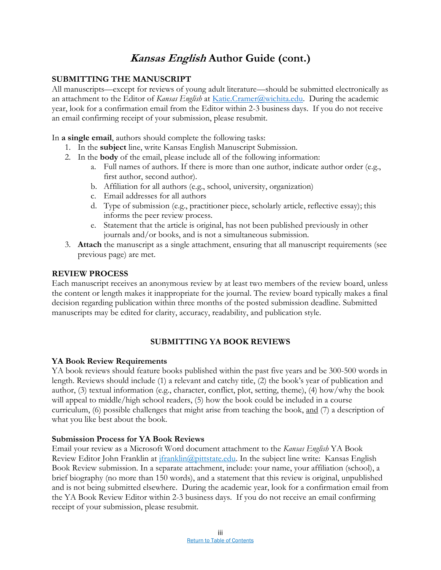### **Kansas English Author Guide (cont.)**

### **SUBMITTING THE MANUSCRIPT**

All manuscripts—except for reviews of young adult literature—should be submitted electronically as an attachment to the Editor of *Kansas English* at *[Katie.Cramer@wichita.edu.](mailto:Katie.Cramer@wichita.edu)* During the academic year, look for a confirmation email from the Editor within 2-3 business days. If you do not receive an email confirming receipt of your submission, please resubmit.

In **a single email**, authors should complete the following tasks:

- 1. In the **subject** line, write Kansas English Manuscript Submission.
- 2. In the **body** of the email, please include all of the following information:
	- a. Full names of authors. If there is more than one author, indicate author order (e.g., first author, second author).
	- b. Affiliation for all authors (e.g., school, university, organization)
	- c. Email addresses for all authors
	- d. Type of submission (e.g., practitioner piece, scholarly article, reflective essay); this informs the peer review process.
	- e. Statement that the article is original, has not been published previously in other journals and/or books, and is not a simultaneous submission.
- 3. **Attach** the manuscript as a single attachment, ensuring that all manuscript requirements (see previous page) are met.

### **REVIEW PROCESS**

Each manuscript receives an anonymous review by at least two members of the review board, unless the content or length makes it inappropriate for the journal. The review board typically makes a final decision regarding publication within three months of the posted submission deadline. Submitted manuscripts may be edited for clarity, accuracy, readability, and publication style.

### **SUBMITTING YA BOOK REVIEWS**

### **YA Book Review Requirements**

YA book reviews should feature books published within the past five years and be 300-500 words in length. Reviews should include (1) a relevant and catchy title, (2) the book's year of publication and author, (3) textual information (e.g., character, conflict, plot, setting, theme), (4) how/why the book will appeal to middle/high school readers, (5) how the book could be included in a course curriculum, (6) possible challenges that might arise from teaching the book, and (7) a description of what you like best about the book.

### **Submission Process for YA Book Reviews**

Email your review as a Microsoft Word document attachment to the *Kansas English* YA Book Review Editor John Franklin at [jfranklin@pittstate.edu.](mailto:jfranklin@pittstate.edu) In the subject line write: Kansas English Book Review submission. In a separate attachment, include: your name, your affiliation (school), a brief biography (no more than 150 words), and a statement that this review is original, unpublished and is not being submitted elsewhere. During the academic year, look for a confirmation email from the YA Book Review Editor within 2-3 business days. If you do not receive an email confirming receipt of your submission, please resubmit.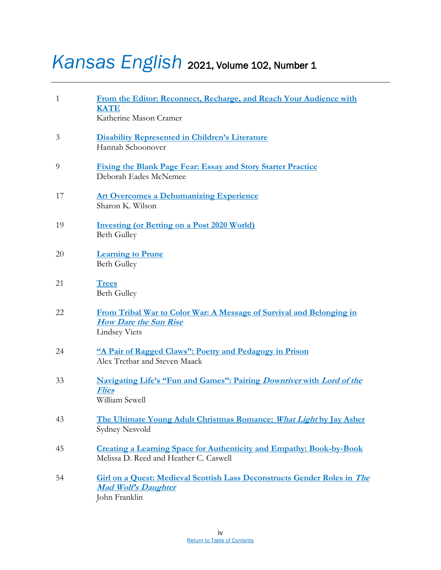### <span id="page-4-0"></span>*Kansas English* 2021, Volume 102, Number 1

| $\mathbf{1}$ | From the Editor: Reconnect, Recharge, and Reach Your Audience with<br><b>KATE</b><br>Katherine Mason Cramer                    |
|--------------|--------------------------------------------------------------------------------------------------------------------------------|
| 3            | <b>Disability Represented in Children's Literature</b><br>Hannah Schoonover                                                    |
| 9            | <b>Fixing the Blank Page Fear: Essay and Story Starter Practice</b><br>Deborah Eades McNemee                                   |
| 17           | <b>Art Overcomes a Dehumanizing Experience</b><br>Sharon K. Wilson                                                             |
| 19           | <b>Investing (or Betting on a Post 2020 World)</b><br><b>Beth Gulley</b>                                                       |
| 20           | <b>Learning to Prune</b><br><b>Beth Gulley</b>                                                                                 |
| 21           | <b>Trees</b><br><b>Beth Gulley</b>                                                                                             |
| 22           | From Tribal War to Color War: A Message of Survival and Belonging in<br><b>How Dare the Sun Rise</b><br><b>Lindsey Viets</b>   |
| 24           | "A Pair of Ragged Claws": Poetry and Pedagogy in Prison<br>Alex Tretbar and Steven Maack                                       |
| 33           | <b>Navigating Life's "Fun and Games": Pairing Downriver with Lord of the</b><br><b>Flies</b><br>William Sewell                 |
| 43           | The Ultimate Young Adult Christmas Romance: What Light by Jay Asher<br>Sydney Nesvold                                          |
| 45           | <b>Creating a Learning Space for Authenticity and Empathy: Book-by-Book</b><br>Melissa D. Reed and Heather C. Caswell          |
| 54           | <b>Girl on a Quest: Medieval Scottish Lass Deconstructs Gender Roles in The</b><br><b>Mad Wolf's Daughter</b><br>John Franklin |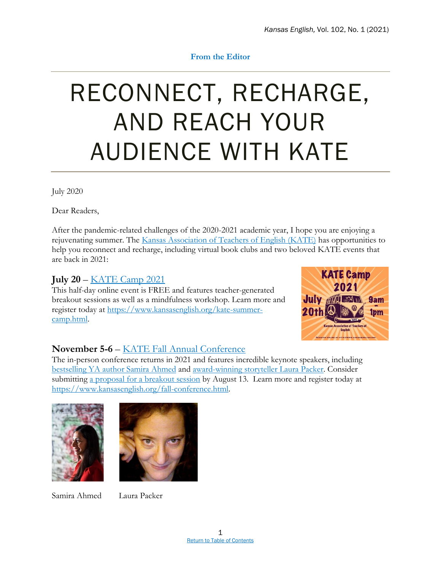### **From the Editor**

### <span id="page-5-0"></span>RECONNECT, RECHARGE, AND REACH YOUR AUDIENCE WITH KATE

July 2020

Dear Readers,

After the pandemic-related challenges of the 2020-2021 academic year, I hope you are enjoying a rejuvenating summer. The [Kansas Association of Teachers of English \(KATE\)](https://www.kansasenglish.org/) has opportunities to help you reconnect and recharge, including virtual book clubs and two beloved KATE events that are back in 2021:

### **July 20** – [KATE Camp 2021](https://www.kansasenglish.org/kate-summer-camp.html)

This half-day online event is FREE and features teacher-generated breakout sessions as well as a mindfulness workshop. Learn more and register today at [https://www.kansasenglish.org/kate-summer](https://www.kansasenglish.org/kate-summer-camp.html)[camp.html.](https://www.kansasenglish.org/kate-summer-camp.html)



### **November 5-6** – [KATE Fall Annual Conference](https://www.kansasenglish.org/fall-conference.html)

The in-person conference returns in 2021 and features incredible keynote speakers, including [bestselling YA author Samira Ahmed](https://samiraahmed.com/) and [award-winning storyteller Laura Packer.](https://laurapacker.com/) Consider submitting a proposal [for a breakout session](https://www.kansasenglish.org/fall-conference.html) by August 13. Learn more and register today at [https://www.kansasenglish.org/fall-conference.html.](https://www.kansasenglish.org/fall-conference.html)



Samira Ahmed Laura Packer

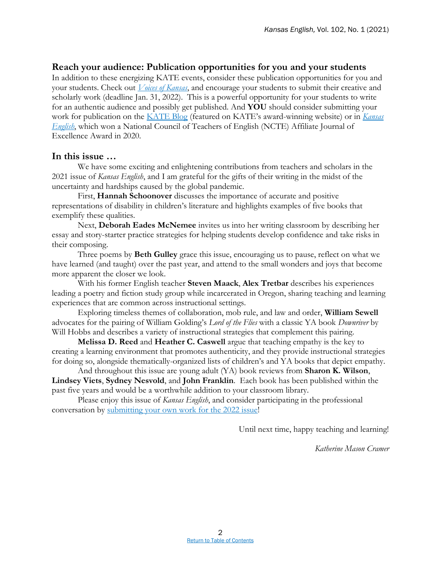### **Reach your audience: Publication opportunities for you and your students**

In addition to these energizing KATE events, consider these publication opportunities for you and your students. Check out *[Voices of Kansas](https://www.kansasenglish.org/voices-of-kansas.html)*, and encourage your students to submit their creative and scholarly work (deadline Jan. 31, 2022). This is a powerful opportunity for your students to write for an authentic audience and possibly get published. And **YOU** should consider submitting your work for publication on the [KATE Blog](https://www.kansasenglish.org/kate-blog) (featured on KATE's award-winning website) or in *[Kansas](https://sites.google.com/view/kansasenglish/home)  [English](https://sites.google.com/view/kansasenglish/home)*, which won a National Council of Teachers of English (NCTE) Affiliate Journal of Excellence Award in 2020.

### **In this issue …**

We have some exciting and enlightening contributions from teachers and scholars in the 2021 issue of *Kansas English*, and I am grateful for the gifts of their writing in the midst of the uncertainty and hardships caused by the global pandemic.

First, **Hannah Schoonover** discusses the importance of accurate and positive representations of disability in children's literature and highlights examples of five books that exemplify these qualities.

Next, **Deborah Eades McNemee** invites us into her writing classroom by describing her essay and story-starter practice strategies for helping students develop confidence and take risks in their composing.

Three poems by **Beth Gulley** grace this issue, encouraging us to pause, reflect on what we have learned (and taught) over the past year, and attend to the small wonders and joys that become more apparent the closer we look.

With his former English teacher **Steven Maack**, **Alex Tretbar** describes his experiences leading a poetry and fiction study group while incarcerated in Oregon, sharing teaching and learning experiences that are common across instructional settings.

Exploring timeless themes of collaboration, mob rule, and law and order, **William Sewell** advocates for the pairing of William Golding's *Lord of the Flies* with a classic YA book *Downriver* by Will Hobbs and describes a variety of instructional strategies that complement this pairing.

**Melissa D. Reed** and **Heather C. Caswell** argue that teaching empathy is the key to creating a learning environment that promotes authenticity, and they provide instructional strategies for doing so, alongside thematically-organized lists of children's and YA books that depict empathy.

And throughout this issue are young adult (YA) book reviews from **Sharon K. Wilson**, **Lindsey Viets**, **Sydney Nesvold**, and **John Franklin**. Each book has been published within the past five years and would be a worthwhile addition to your classroom library.

Please enjoy this issue of *Kansas English*, and consider participating in the professional conversation by [submitting your own work for the 2022 issue!](https://sites.google.com/view/kansasenglish/home)

Until next time, happy teaching and learning!

*Katherine Mason Cramer*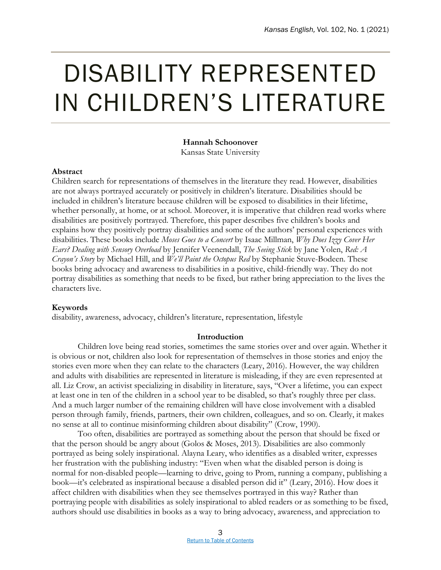### <span id="page-7-0"></span>DISABILITY REPRESENTED IN CHILDREN'S LITERATURE

### **Hannah Schoonover**

Kansas State University

### **Abstract**

Children search for representations of themselves in the literature they read. However, disabilities are not always portrayed accurately or positively in children's literature. Disabilities should be included in children's literature because children will be exposed to disabilities in their lifetime, whether personally, at home, or at school. Moreover, it is imperative that children read works where disabilities are positively portrayed. Therefore, this paper describes five children's books and explains how they positively portray disabilities and some of the authors' personal experiences with disabilities. These books include *Moses Goes to a Concert* by Isaac Millman, *Why Does Izzy Cover Her Ears? Dealing with Sensory Overload* by Jennifer Veenendall, *The Seeing Stick* by Jane Yolen, *Red: A Crayon's Story* by Michael Hill, and *We'll Paint the Octopus Red* by Stephanie Stuve-Bodeen. These books bring advocacy and awareness to disabilities in a positive, child-friendly way. They do not portray disabilities as something that needs to be fixed, but rather bring appreciation to the lives the characters live.

### **Keywords**

disability, awareness, advocacy, children's literature, representation, lifestyle

### **Introduction**

Children love being read stories, sometimes the same stories over and over again. Whether it is obvious or not, children also look for representation of themselves in those stories and enjoy the stories even more when they can relate to the characters (Leary, 2016). However, the way children and adults with disabilities are represented in literature is misleading, if they are even represented at all. Liz Crow, an activist specializing in disability in literature, says, "Over a lifetime, you can expect at least one in ten of the children in a school year to be disabled, so that's roughly three per class. And a much larger number of the remaining children will have close involvement with a disabled person through family, friends, partners, their own children, colleagues, and so on. Clearly, it makes no sense at all to continue misinforming children about disability" (Crow, 1990).

Too often, disabilities are portrayed as something about the person that should be fixed or that the person should be angry about (Golos & Moses, 2013). Disabilities are also commonly portrayed as being solely inspirational. Alayna Leary, who identifies as a disabled writer, expresses her frustration with the publishing industry: "Even when what the disabled person is doing is normal for non-disabled people—learning to drive, going to Prom, running a company, publishing a book—it's celebrated as inspirational because a disabled person did it" (Leary, 2016). How does it affect children with disabilities when they see themselves portrayed in this way? Rather than portraying people with disabilities as solely inspirational to abled readers or as something to be fixed, authors should use disabilities in books as a way to bring advocacy, awareness, and appreciation to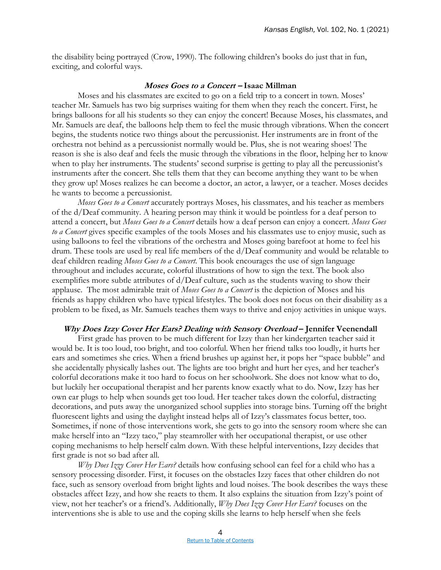the disability being portrayed (Crow, 1990). The following children's books do just that in fun, exciting, and colorful ways.

#### **Moses Goes to a Concert – Isaac Millman**

Moses and his classmates are excited to go on a field trip to a concert in town. Moses' teacher Mr. Samuels has two big surprises waiting for them when they reach the concert. First, he brings balloons for all his students so they can enjoy the concert! Because Moses, his classmates, and Mr. Samuels are deaf, the balloons help them to feel the music through vibrations. When the concert begins, the students notice two things about the percussionist. Her instruments are in front of the orchestra not behind as a percussionist normally would be. Plus, she is not wearing shoes! The reason is she is also deaf and feels the music through the vibrations in the floor, helping her to know when to play her instruments. The students' second surprise is getting to play all the percussionist's instruments after the concert. She tells them that they can become anything they want to be when they grow up! Moses realizes he can become a doctor, an actor, a lawyer, or a teacher. Moses decides he wants to become a percussionist.

*Moses Goes to a Concert* accurately portrays Moses, his classmates, and his teacher as members of the d/Deaf community. A hearing person may think it would be pointless for a deaf person to attend a concert, but *Moses Goes to a Concert* details how a deaf person can enjoy a concert. *Moses Goes to a Concert* gives specific examples of the tools Moses and his classmates use to enjoy music, such as using balloons to feel the vibrations of the orchestra and Moses going barefoot at home to feel his drum. These tools are used by real life members of the d/Deaf community and would be relatable to deaf children reading *Moses Goes to a Concert*. This book encourages the use of sign language throughout and includes accurate, colorful illustrations of how to sign the text. The book also exemplifies more subtle attributes of  $d/Deaf$  culture, such as the students waving to show their applause. The most admirable trait of *Moses Goes to a Concert* is the depiction of Moses and his friends as happy children who have typical lifestyles. The book does not focus on their disability as a problem to be fixed, as Mr. Samuels teaches them ways to thrive and enjoy activities in unique ways.

### **Why Does Izzy Cover Her Ears? Dealing with Sensory Overload – Jennifer Veenendall**

First grade has proven to be much different for Izzy than her kindergarten teacher said it would be. It is too loud, too bright, and too colorful. When her friend talks too loudly, it hurts her ears and sometimes she cries. When a friend brushes up against her, it pops her "space bubble" and she accidentally physically lashes out. The lights are too bright and hurt her eyes, and her teacher's colorful decorations make it too hard to focus on her schoolwork. She does not know what to do, but luckily her occupational therapist and her parents know exactly what to do. Now, Izzy has her own ear plugs to help when sounds get too loud. Her teacher takes down the colorful, distracting decorations, and puts away the unorganized school supplies into storage bins. Turning off the bright fluorescent lights and using the daylight instead helps all of Izzy's classmates focus better, too. Sometimes, if none of those interventions work, she gets to go into the sensory room where she can make herself into an "Izzy taco," play steamroller with her occupational therapist, or use other coping mechanisms to help herself calm down. With these helpful interventions, Izzy decides that first grade is not so bad after all.

*Why Does Izzy Cover Her Ears?* details how confusing school can feel for a child who has a sensory processing disorder. First, it focuses on the obstacles Izzy faces that other children do not face, such as sensory overload from bright lights and loud noises. The book describes the ways these obstacles affect Izzy, and how she reacts to them. It also explains the situation from Izzy's point of view, not her teacher's or a friend's. Additionally, *Why Does Izzy Cover Her Ears?* focuses on the interventions she is able to use and the coping skills she learns to help herself when she feels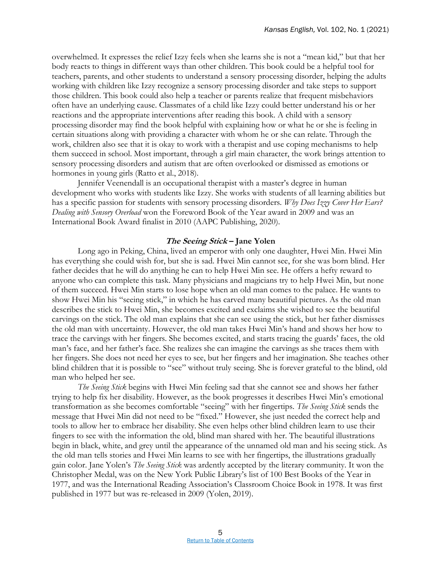overwhelmed. It expresses the relief Izzy feels when she learns she is not a "mean kid," but that her body reacts to things in different ways than other children. This book could be a helpful tool for teachers, parents, and other students to understand a sensory processing disorder, helping the adults working with children like Izzy recognize a sensory processing disorder and take steps to support those children. This book could also help a teacher or parents realize that frequent misbehaviors often have an underlying cause. Classmates of a child like Izzy could better understand his or her reactions and the appropriate interventions after reading this book. A child with a sensory processing disorder may find the book helpful with explaining how or what he or she is feeling in certain situations along with providing a character with whom he or she can relate. Through the work, children also see that it is okay to work with a therapist and use coping mechanisms to help them succeed in school. Most important, through a girl main character, the work brings attention to sensory processing disorders and autism that are often overlooked or dismissed as emotions or hormones in young girls (Ratto et al., 2018).

Jennifer Veenendall is an occupational therapist with a master's degree in human development who works with students like Izzy. She works with students of all learning abilities but has a specific passion for students with sensory processing disorders. *Why Does Izzy Cover Her Ears? Dealing with Sensory Overload* won the Foreword Book of the Year award in 2009 and was an International Book Award finalist in 2010 (AAPC Publishing, 2020).

### **The Seeing Stick – Jane Yolen**

Long ago in Peking, China, lived an emperor with only one daughter, Hwei Min. Hwei Min has everything she could wish for, but she is sad. Hwei Min cannot see, for she was born blind. Her father decides that he will do anything he can to help Hwei Min see. He offers a hefty reward to anyone who can complete this task. Many physicians and magicians try to help Hwei Min, but none of them succeed. Hwei Min starts to lose hope when an old man comes to the palace. He wants to show Hwei Min his "seeing stick," in which he has carved many beautiful pictures. As the old man describes the stick to Hwei Min, she becomes excited and exclaims she wished to see the beautiful carvings on the stick. The old man explains that she can see using the stick, but her father dismisses the old man with uncertainty. However, the old man takes Hwei Min's hand and shows her how to trace the carvings with her fingers. She becomes excited, and starts tracing the guards' faces, the old man's face, and her father's face. She realizes she can imagine the carvings as she traces them with her fingers. She does not need her eyes to see, but her fingers and her imagination. She teaches other blind children that it is possible to "see" without truly seeing. She is forever grateful to the blind, old man who helped her see.

*The Seeing Stick* begins with Hwei Min feeling sad that she cannot see and shows her father trying to help fix her disability. However, as the book progresses it describes Hwei Min's emotional transformation as she becomes comfortable "seeing" with her fingertips. *The Seeing Stick* sends the message that Hwei Min did not need to be "fixed." However, she just needed the correct help and tools to allow her to embrace her disability. She even helps other blind children learn to use their fingers to see with the information the old, blind man shared with her. The beautiful illustrations begin in black, white, and grey until the appearance of the unnamed old man and his seeing stick. As the old man tells stories and Hwei Min learns to see with her fingertips, the illustrations gradually gain color. Jane Yolen's *The Seeing Stick* was ardently accepted by the literary community. It won the Christopher Medal, was on the New York Public Library's list of 100 Best Books of the Year in 1977, and was the International Reading Association's Classroom Choice Book in 1978. It was first published in 1977 but was re-released in 2009 (Yolen, 2019).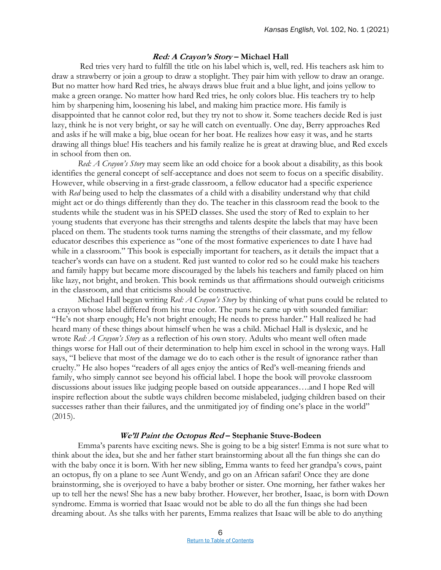### **Red: A Crayon's Story – Michael Hall**

Red tries very hard to fulfill the title on his label which is, well, red. His teachers ask him to draw a strawberry or join a group to draw a stoplight. They pair him with yellow to draw an orange. But no matter how hard Red tries, he always draws blue fruit and a blue light, and joins yellow to make a green orange. No matter how hard Red tries, he only colors blue. His teachers try to help him by sharpening him, loosening his label, and making him practice more. His family is disappointed that he cannot color red, but they try not to show it. Some teachers decide Red is just lazy, think he is not very bright, or say he will catch on eventually. One day, Berry approaches Red and asks if he will make a big, blue ocean for her boat. He realizes how easy it was, and he starts drawing all things blue! His teachers and his family realize he is great at drawing blue, and Red excels in school from then on.

*Red: A Crayon's Story* may seem like an odd choice for a book about a disability, as this book identifies the general concept of self-acceptance and does not seem to focus on a specific disability. However, while observing in a first-grade classroom, a fellow educator had a specific experience with *Red* being used to help the classmates of a child with a disability understand why that child might act or do things differently than they do. The teacher in this classroom read the book to the students while the student was in his SPED classes. She used the story of Red to explain to her young students that everyone has their strengths and talents despite the labels that may have been placed on them. The students took turns naming the strengths of their classmate, and my fellow educator describes this experience as "one of the most formative experiences to date I have had while in a classroom." This book is especially important for teachers, as it details the impact that a teacher's words can have on a student. Red just wanted to color red so he could make his teachers and family happy but became more discouraged by the labels his teachers and family placed on him like lazy, not bright, and broken. This book reminds us that affirmations should outweigh criticisms in the classroom, and that criticisms should be constructive.

Michael Hall began writing *Red: A Crayon's Story* by thinking of what puns could be related to a crayon whose label differed from his true color. The puns he came up with sounded familiar: "He's not sharp enough; He's not bright enough; He needs to press harder." Hall realized he had heard many of these things about himself when he was a child. Michael Hall is dyslexic, and he wrote *Red: A Crayon's Story* as a reflection of his own story. Adults who meant well often made things worse for Hall out of their determination to help him excel in school in the wrong ways. Hall says, "I believe that most of the damage we do to each other is the result of ignorance rather than cruelty." He also hopes "readers of all ages enjoy the antics of Red's well-meaning friends and family, who simply cannot see beyond his official label. I hope the book will provoke classroom discussions about issues like judging people based on outside appearances….and I hope Red will inspire reflection about the subtle ways children become mislabeled, judging children based on their successes rather than their failures, and the unmitigated joy of finding one's place in the world"  $(2015).$ 

### **We'll Paint the Octopus Red – Stephanie Stuve-Bodeen**

Emma's parents have exciting news. She is going to be a big sister! Emma is not sure what to think about the idea, but she and her father start brainstorming about all the fun things she can do with the baby once it is born. With her new sibling, Emma wants to feed her grandpa's cows, paint an octopus, fly on a plane to see Aunt Wendy, and go on an African safari! Once they are done brainstorming, she is overjoyed to have a baby brother or sister. One morning, her father wakes her up to tell her the news! She has a new baby brother. However, her brother, Isaac, is born with Down syndrome. Emma is worried that Isaac would not be able to do all the fun things she had been dreaming about. As she talks with her parents, Emma realizes that Isaac will be able to do anything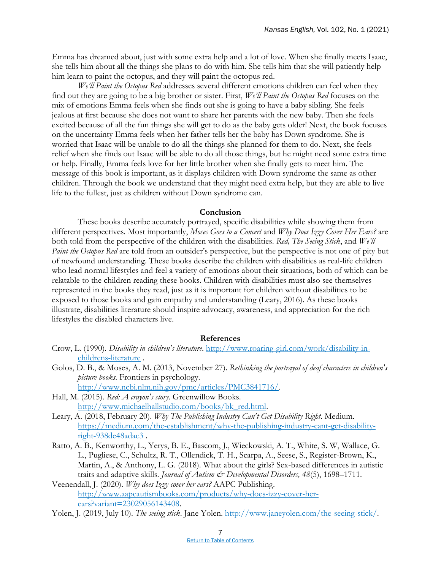Emma has dreamed about, just with some extra help and a lot of love. When she finally meets Isaac, she tells him about all the things she plans to do with him. She tells him that she will patiently help him learn to paint the octopus, and they will paint the octopus red.

*We'll Paint the Octopus Red* addresses several different emotions children can feel when they find out they are going to be a big brother or sister. First, *We'll Paint the Octopus Red* focuses on the mix of emotions Emma feels when she finds out she is going to have a baby sibling. She feels jealous at first because she does not want to share her parents with the new baby. Then she feels excited because of all the fun things she will get to do as the baby gets older! Next, the book focuses on the uncertainty Emma feels when her father tells her the baby has Down syndrome. She is worried that Isaac will be unable to do all the things she planned for them to do. Next, she feels relief when she finds out Isaac will be able to do all those things, but he might need some extra time or help. Finally, Emma feels love for her little brother when she finally gets to meet him. The message of this book is important, as it displays children with Down syndrome the same as other children. Through the book we understand that they might need extra help, but they are able to live life to the fullest, just as children without Down syndrome can.

#### **Conclusion**

These books describe accurately portrayed, specific disabilities while showing them from different perspectives. Most importantly, *Moses Goes to a Concert* and *Why Does Izzy Cover Her Ears?* are both told from the perspective of the children with the disabilities. *Red, The Seeing Stick*, and *We'll Paint the Octopus Red* are told from an outsider's perspective, but the perspective is not one of pity but of newfound understanding. These books describe the children with disabilities as real-life children who lead normal lifestyles and feel a variety of emotions about their situations, both of which can be relatable to the children reading these books. Children with disabilities must also see themselves represented in the books they read, just as it is important for children without disabilities to be exposed to those books and gain empathy and understanding (Leary, 2016). As these books illustrate, disabilities literature should inspire advocacy, awareness, and appreciation for the rich lifestyles the disabled characters live.

### **References**

- Crow, L. (1990). *Disability in children's literature*. [http://www.roaring-girl.com/work/disability-in](http://www.roaring-girl.com/work/disability-in-childrens-literature)[childrens-literature](http://www.roaring-girl.com/work/disability-in-childrens-literature) .
- Golos, D. B., & Moses, A. M. (2013, November 27). *Rethinking the portrayal of deaf characters in children's picture books*. Frontiers in psychology. [http://www.ncbi.nlm.nih.gov/pmc/articles/PMC3841716/.](http://www.ncbi.nlm.nih.gov/pmc/articles/PMC3841716/)
- Hall, M. (2015). *Red: A crayon's story*. Greenwillow Books. [http://www.michaelhallstudio.com/books/bk\\_red.html.](http://www.michaelhallstudio.com/books/bk_red.html)
- Leary, A. (2018, February 20). *Why The Publishing Industry Can't Get Disability Right*. Medium. [https://medium.com/the-establishment/why-the-publishing-industry-cant-get-disability](https://medium.com/the-establishment/why-the-publishing-industry-cant-get-disability-right-938de48adac3)[right-938de48adac3](https://medium.com/the-establishment/why-the-publishing-industry-cant-get-disability-right-938de48adac3) .
- Ratto, A. B., Kenworthy, L., Yerys, B. E., Bascom, J., Wieckowski, A. T., White, S. W, Wallace, G. L., Pugliese, C., Schultz, R. T., Ollendick, T. H., Scarpa, A., Seese, S., Register-Brown, K., Martin, A., & Anthony, L. G. (2018). What about the girls? Sex-based differences in autistic traits and adaptive skills. *Journal of Autism & Developmental Disorders*, 48(5), 1698-1711.
- Veenendall, J. (2020). *Why does Izzy cover her ears?* AAPC Publishing. [http://www.aapcautismbooks.com/products/why-does-izzy-cover-her](http://www.aapcautismbooks.com/products/why-does-izzy-cover-her-ears?variant=23029056143408)[ears?variant=23029056143408.](http://www.aapcautismbooks.com/products/why-does-izzy-cover-her-ears?variant=23029056143408)

Yolen, J. (2019, July 10). *The seeing stick*. Jane Yolen. [http://www.janeyolen.com/the-seeing-stick/.](http://www.janeyolen.com/the-seeing-stick/)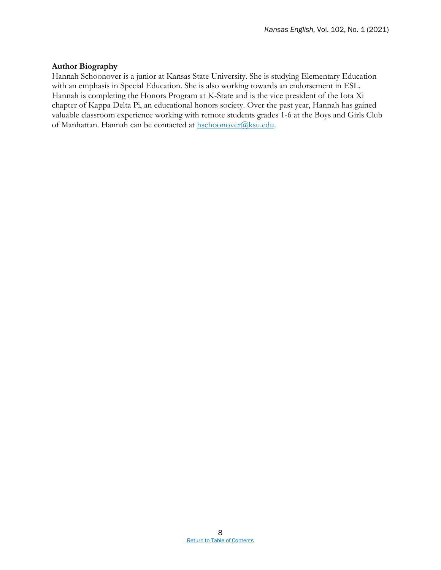### **Author Biography**

Hannah Schoonover is a junior at Kansas State University. She is studying Elementary Education with an emphasis in Special Education. She is also working towards an endorsement in ESL. Hannah is completing the Honors Program at K-State and is the vice president of the Iota Xi chapter of Kappa Delta Pi, an educational honors society. Over the past year, Hannah has gained valuable classroom experience working with remote students grades 1-6 at the Boys and Girls Club of Manhattan. Hannah can be contacted at [hschoonover@ksu.edu.](mailto:hschoonover@ksu.edu)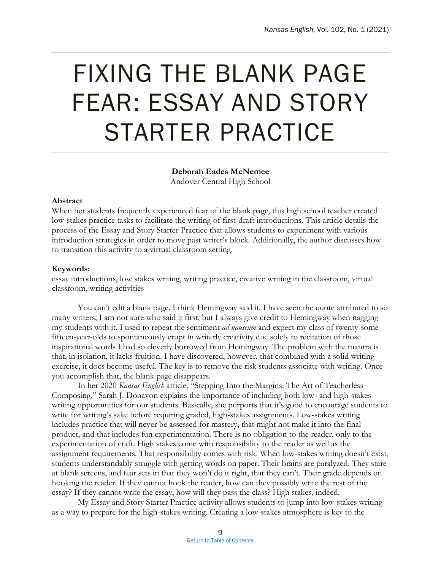### <span id="page-13-0"></span>FIXING THE BLANK PAGE FEAR: ESSAY AND STORY STARTER PRACTICE

**Deborah Eades McNemee** Andover Central High School

### **Abstract**

When her students frequently experienced fear of the blank page, this high school teacher created low-stakes practice tasks to facilitate the writing of first-draft introductions. This article details the process of the Essay and Story Starter Practice that allows students to experiment with various introduction strategies in order to move past writer's block. Additionally, the author discusses how to transition this activity to a virtual classroom setting.

### **Keywords:**

essay introductions, low stakes writing, writing practice, creative writing in the classroom, virtual classroom, writing activities

You can't edit a blank page. I think Hemingway said it. I have seen the quote attributed to so many writers; I am not sure who said it first, but I always give credit to Hemingway when nagging my students with it. I used to repeat the sentiment *ad nauseum* and expect my class of twenty-some fifteen-year-olds to spontaneously erupt in writerly creativity due solely to recitation of those inspirational words I had so cleverly borrowed from Hemingway. The problem with the mantra is that, in isolation, it lacks fruition. I have discovered, however, that combined with a solid writing exercise, it does become useful. The key is to remove the risk students associate with writing. Once you accomplish that, the blank page disappears.

In her 2020 *Kansas English* article, "Stepping Into the Margins: The Art of Teacherless Composing," Sarah J. Donavon explains the importance of including both low- and high-stakes writing opportunities for our students. Basically, she purports that it's good to encourage students to write for writing's sake before requiring graded, high-stakes assignments. Low-stakes writing includes practice that will never be assessed for mastery, that might not make it into the final product, and that includes fun experimentation. There is no obligation to the reader, only to the experimentation of craft. High stakes come with responsibility to the reader as well as the assignment requirements. That responsibility comes with risk. When low-stakes writing doesn't exist, students understandably struggle with getting words on paper. Their brains are paralyzed. They stare at blank screens, and fear sets in that they won't do it right, that they can't. Their grade depends on hooking the reader. If they cannot hook the reader, how can they possibly write the rest of the essay? If they cannot write the essay, how will they pass the class? High stakes, indeed.

My Essay and Story Starter Practice activity allows students to jump into low-stakes writing as a way to prepare for the high-stakes writing. Creating a low-stakes atmosphere is key to the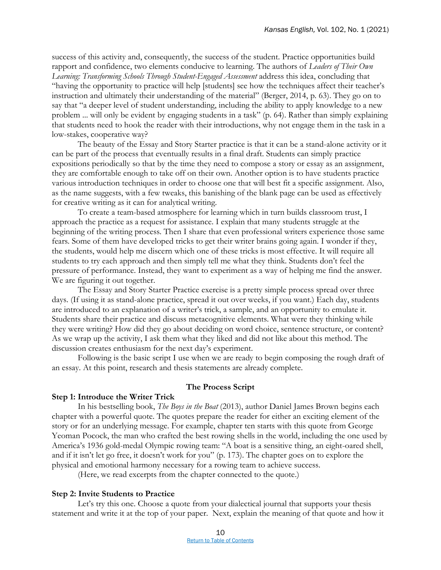success of this activity and, consequently, the success of the student. Practice opportunities build rapport and confidence, two elements conducive to learning. The authors of *Leaders of Their Own*  Learning: Transforming Schools Through Student-Engaged Assessment address this idea, concluding that "having the opportunity to practice will help [students] see how the techniques affect their teacher's instruction and ultimately their understanding of the material" (Berger, 2014, p. 63). They go on to say that "a deeper level of student understanding, including the ability to apply knowledge to a new problem ... will only be evident by engaging students in a task" (p. 64). Rather than simply explaining that students need to hook the reader with their introductions, why not engage them in the task in a low-stakes, cooperative way?

The beauty of the Essay and Story Starter practice is that it can be a stand-alone activity or it can be part of the process that eventually results in a final draft. Students can simply practice expositions periodically so that by the time they need to compose a story or essay as an assignment, they are comfortable enough to take off on their own. Another option is to have students practice various introduction techniques in order to choose one that will best fit a specific assignment. Also, as the name suggests, with a few tweaks, this banishing of the blank page can be used as effectively for creative writing as it can for analytical writing.

To create a team-based atmosphere for learning which in turn builds classroom trust, I approach the practice as a request for assistance. I explain that many students struggle at the beginning of the writing process. Then I share that even professional writers experience those same fears. Some of them have developed tricks to get their writer brains going again. I wonder if they, the students, would help me discern which one of these tricks is most effective. It will require all students to try each approach and then simply tell me what they think. Students don't feel the pressure of performance. Instead, they want to experiment as a way of helping me find the answer. We are figuring it out together.

The Essay and Story Starter Practice exercise is a pretty simple process spread over three days. (If using it as stand-alone practice, spread it out over weeks, if you want.) Each day, students are introduced to an explanation of a writer's trick, a sample, and an opportunity to emulate it. Students share their practice and discuss metacognitive elements. What were they thinking while they were writing? How did they go about deciding on word choice, sentence structure, or content? As we wrap up the activity, I ask them what they liked and did not like about this method. The discussion creates enthusiasm for the next day's experiment.

Following is the basic script I use when we are ready to begin composing the rough draft of an essay. At this point, research and thesis statements are already complete.

### **The Process Script**

### **Step 1: Introduce the Writer Trick**

In his bestselling book, *The Boys in the Boat* (2013), author Daniel James Brown begins each chapter with a powerful quote. The quotes prepare the reader for either an exciting element of the story or for an underlying message. For example, chapter ten starts with this quote from George Yeoman Pocock, the man who crafted the best rowing shells in the world, including the one used by America's 1936 gold-medal Olympic rowing team: "A boat is a sensitive thing, an eight-oared shell, and if it isn't let go free, it doesn't work for you" (p. 173). The chapter goes on to explore the physical and emotional harmony necessary for a rowing team to achieve success.

(Here, we read excerpts from the chapter connected to the quote.)

### **Step 2: Invite Students to Practice**

Let's try this one. Choose a quote from your dialectical journal that supports your thesis statement and write it at the top of your paper. Next, explain the meaning of that quote and how it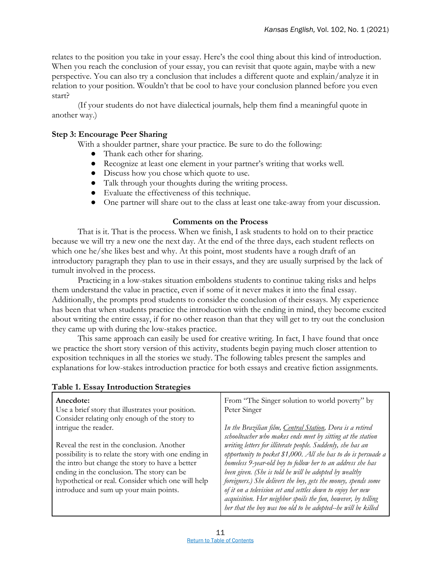relates to the position you take in your essay. Here's the cool thing about this kind of introduction. When you reach the conclusion of your essay, you can revisit that quote again, maybe with a new perspective. You can also try a conclusion that includes a different quote and explain/analyze it in relation to your position. Wouldn't that be cool to have your conclusion planned before you even start?

(If your students do not have dialectical journals, help them find a meaningful quote in another way.)

### **Step 3: Encourage Peer Sharing**

With a shoulder partner, share your practice. Be sure to do the following:

- Thank each other for sharing.
- Recognize at least one element in your partner's writing that works well.
- Discuss how you chose which quote to use.
- Talk through your thoughts during the writing process.
- Evaluate the effectiveness of this technique.
- One partner will share out to the class at least one take-away from your discussion.

### **Comments on the Process**

That is it. That is the process. When we finish, I ask students to hold on to their practice because we will try a new one the next day. At the end of the three days, each student reflects on which one he/she likes best and why. At this point, most students have a rough draft of an introductory paragraph they plan to use in their essays, and they are usually surprised by the lack of tumult involved in the process.

Practicing in a low-stakes situation emboldens students to continue taking risks and helps them understand the value in practice, even if some of it never makes it into the final essay. Additionally, the prompts prod students to consider the conclusion of their essays. My experience has been that when students practice the introduction with the ending in mind, they become excited about writing the entire essay, if for no other reason than that they will get to try out the conclusion they came up with during the low-stakes practice.

This same approach can easily be used for creative writing. In fact, I have found that once we practice the short story version of this activity, students begin paying much closer attention to exposition techniques in all the stories we study. The following tables present the samples and explanations for low-stakes introduction practice for both essays and creative fiction assignments.

| Anecdote:                                             | From "The Singer solution to world poverty" by                 |
|-------------------------------------------------------|----------------------------------------------------------------|
| Use a brief story that illustrates your position.     | Peter Singer                                                   |
| Consider relating only enough of the story to         |                                                                |
| intrigue the reader.                                  | In the Brazilian film, Central Station, Dora is a retired      |
|                                                       | schoolteacher who makes ends meet by sitting at the station    |
| Reveal the rest in the conclusion. Another            | writing letters for illiterate people. Suddenly, she has an    |
| possibility is to relate the story with one ending in | opportunity to pocket \$1,000. All she has to do is persuade a |
| the intro but change the story to have a better       | homeless 9-year-old boy to follow her to an address she has    |
| ending in the conclusion. The story can be            | been given. (She is told he will be adopted by wealthy         |
| hypothetical or real. Consider which one will help    | foreigners.) She delivers the boy, gets the money, spends some |
| introduce and sum up your main points.                | of it on a television set and settles down to enjoy her new    |
|                                                       | acquisition. Her neighbor spoils the fun, however, by telling  |
|                                                       | her that the boy was too old to be adopted-he will be killed   |
|                                                       |                                                                |

### **Table 1. Essay Introduction Strategies**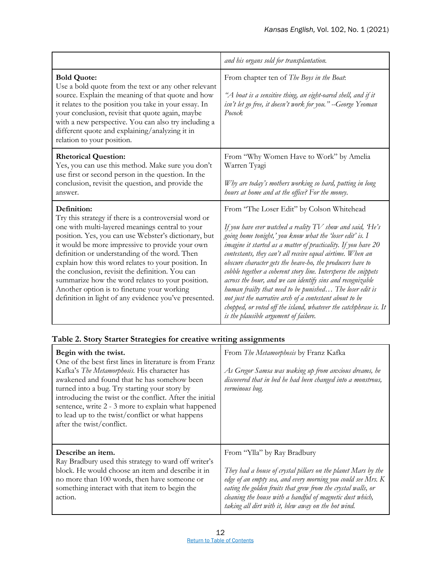|                                                                                                                                                                                                                                                                                                                                                                                                                                                                                                                                                         | and his organs sold for transplantation.                                                                                                                                                                                                                                                                                                                                                                                                                                                                                                                                                                                                                                                                                                    |  |
|---------------------------------------------------------------------------------------------------------------------------------------------------------------------------------------------------------------------------------------------------------------------------------------------------------------------------------------------------------------------------------------------------------------------------------------------------------------------------------------------------------------------------------------------------------|---------------------------------------------------------------------------------------------------------------------------------------------------------------------------------------------------------------------------------------------------------------------------------------------------------------------------------------------------------------------------------------------------------------------------------------------------------------------------------------------------------------------------------------------------------------------------------------------------------------------------------------------------------------------------------------------------------------------------------------------|--|
| <b>Bold Quote:</b><br>Use a bold quote from the text or any other relevant<br>source. Explain the meaning of that quote and how<br>it relates to the position you take in your essay. In<br>your conclusion, revisit that quote again, maybe<br>with a new perspective. You can also try including a<br>different quote and explaining/analyzing it in<br>relation to your position.                                                                                                                                                                    | From chapter ten of The Boys in the Boat:<br>"A boat is a sensitive thing, an eight-oared shell, and if it<br>isn't let go free, it doesn't work for you." --George Yeoman<br>Pocock                                                                                                                                                                                                                                                                                                                                                                                                                                                                                                                                                        |  |
| <b>Rhetorical Question:</b><br>Yes, you can use this method. Make sure you don't<br>use first or second person in the question. In the<br>conclusion, revisit the question, and provide the<br>answer.                                                                                                                                                                                                                                                                                                                                                  | From "Why Women Have to Work" by Amelia<br>Warren Tyagi<br>Why are today's mothers working so hard, putting in long<br>hours at home and at the office? For the money.                                                                                                                                                                                                                                                                                                                                                                                                                                                                                                                                                                      |  |
| Definition:<br>Try this strategy if there is a controversial word or<br>one with multi-layered meanings central to your<br>position. Yes, you can use Webster's dictionary, but<br>it would be more impressive to provide your own<br>definition or understanding of the word. Then<br>explain how this word relates to your position. In<br>the conclusion, revisit the definition. You can<br>summarize how the word relates to your position.<br>Another option is to finetune your working<br>definition in light of any evidence you've presented. | From "The Loser Edit" by Colson Whitehead<br>If you have ever watched a reality $TV$ show and said, $He's$<br>going home tonight,' you know what the 'loser edit' is. I<br>imagine it started as a matter of practicality. If you have 20<br>contestants, they can't all receive equal airtime. When an<br>obscure character gets the heave-ho, the producers have to<br>cobble together a coherent story line. Intersperse the snippets<br>across the hour, and we can identify sins and recognizable<br>human frailty that need to be punished The loser edit is<br>not just the narrative arch of a contestant about to be<br>chopped, or voted off the island, whatever the catchphrase is. It<br>is the plausible argument of failure. |  |

### **Table 2. Story Starter Strategies for creative writing assignments**

| Begin with the twist.<br>One of the best first lines in literature is from Franz<br>Kafka's The Metamorphosis. His character has<br>awakened and found that he has somehow been<br>turned into a bug. Try starting your story by<br>introducing the twist or the conflict. After the initial<br>sentence, write 2 - 3 more to explain what happened<br>to lead up to the twist/conflict or what happens<br>after the twist/conflict. | From The Metamorphosis by Franz Kafka<br>As Gregor Samsa was waking up from anxious dreams, he<br>discovered that in bed he had been changed into a monstrous,<br>verminous bug. |
|--------------------------------------------------------------------------------------------------------------------------------------------------------------------------------------------------------------------------------------------------------------------------------------------------------------------------------------------------------------------------------------------------------------------------------------|----------------------------------------------------------------------------------------------------------------------------------------------------------------------------------|
| Describe an item.                                                                                                                                                                                                                                                                                                                                                                                                                    | From "Ylla" by Ray Bradbury                                                                                                                                                      |
| Ray Bradbury used this strategy to ward off writer's                                                                                                                                                                                                                                                                                                                                                                                 | They had a house of crystal pillars on the planet Mars by the                                                                                                                    |
| block. He would choose an item and describe it in                                                                                                                                                                                                                                                                                                                                                                                    | edge of an empty sea, and every morning you could see Mrs. K                                                                                                                     |
| no more than 100 words, then have someone or                                                                                                                                                                                                                                                                                                                                                                                         | eating the golden fruits that grew from the crystal walls, or                                                                                                                    |
| something interact with that item to begin the                                                                                                                                                                                                                                                                                                                                                                                       | cleaning the house with a handful of magnetic dust which,                                                                                                                        |
| action.                                                                                                                                                                                                                                                                                                                                                                                                                              | taking all dirt with it, blew away on the hot wind.                                                                                                                              |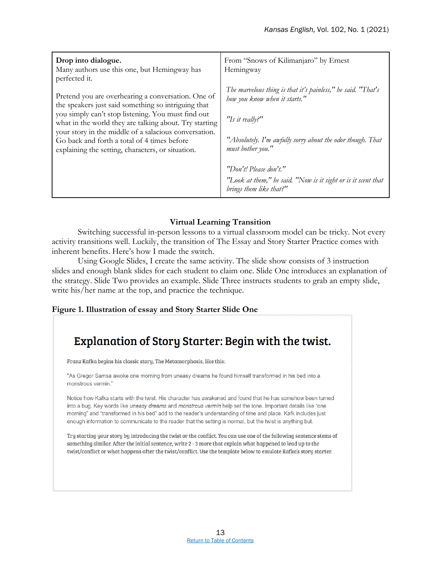| Drop into dialogue.<br>Many authors use this one, but Hemingway has<br>perfected it.                                                                                                                                                                                                                                                                                                   | From "Snows of Kilimanjaro" by Ernest<br>Hemingway                                                                                                                                                  |
|----------------------------------------------------------------------------------------------------------------------------------------------------------------------------------------------------------------------------------------------------------------------------------------------------------------------------------------------------------------------------------------|-----------------------------------------------------------------------------------------------------------------------------------------------------------------------------------------------------|
| Pretend you are overhearing a conversation. One of<br>the speakers just said something so intriguing that<br>you simply can't stop listening. You must find out<br>what in the world they are talking about. Try starting<br>your story in the middle of a salacious conversation.<br>Go back and forth a total of 4 times before<br>explaining the setting, characters, or situation. | The marvelous thing is that it's painless," he said. "That's<br>how you know when it starts."<br>"Is it really?"<br>"Absolutely. I'm awfully sorry about the odor though. That<br>must bother you." |
|                                                                                                                                                                                                                                                                                                                                                                                        | "Don't! Please don't."                                                                                                                                                                              |
|                                                                                                                                                                                                                                                                                                                                                                                        | "Look at them," he said. "Now is it sight or is it scent that<br>brings them like that?"                                                                                                            |

### **Virtual Learning Transition**

Switching successful in-person lessons to a virtual classroom model can be tricky. Not every activity transitions well. Luckily, the transition of The Essay and Story Starter Practice comes with inherent benefits. Here's how I made the switch.

Using Google Slides, I create the same activity. The slide show consists of 3 instruction slides and enough blank slides for each student to claim one. Slide One introduces an explanation of the strategy. Slide Two provides an example. Slide Three instructs students to grab an empty slide, write his/her name at the top, and practice the technique.

### **Figure 1. Illustration of essay and Story Starter Slide One**

### **Explanation of Story Starter: Begin with the twist.**

Franz Kafka begins his classic story, The Metamorphosis, like this:

"As Gregor Samsa awoke one morning from uneasy dreams he found himself transformed in his bed into a monstrous vermin."

Notice how Kafka starts with the twist. His character has awakened and found that he has somehow been turned into a bug. Key words like uneasy dreams and monstrous vermin help set the tone. Important details like "one morning" and "transformed in his bed" add to the reader's understanding of time and place. Kafk includes just enough information to communicate to the reader that the setting is normal, but the twist is anything but.

Try starting your story by introducing the twist or the conflict. You can use one of the following sentence stems of something similar. After the initial sentence, write 2 - 3 more that explain what happened to lead up to the twist/conflict or what happens after the twist/conflict. Use the template below to emulate Kafka's story starter.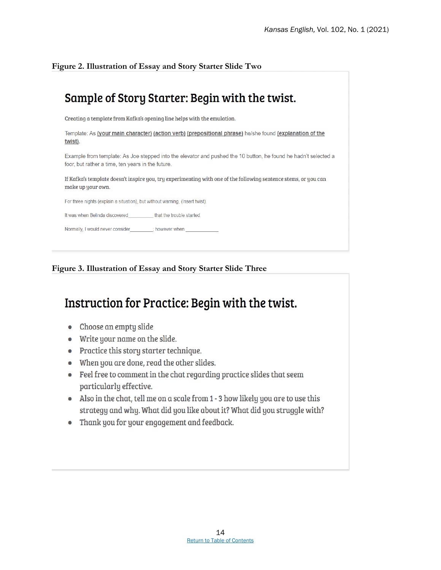**Figure 2. Illustration of Essay and Story Starter Slide Two**

### Sample of Story Starter: Begin with the twist.

Creating a template from Kafka's opening line helps with the emulation.

Template: As (your main character) (action verb) (prepositional phrase) he/she found (explanation of the twist).

Example from template: As Joe stepped into the elevator and pushed the 10 button, he found he hadn't selected a foor, but rather a time, ten years in the future.

If Kafka's template doesn't inspire you, try experimenting with one of the following sentence stems, or you can make up your own.

For three nights (explain a situation), but without warning, (Insert twist).

It was when Belinda discovered that the trouble started

Normally, I would never consider\_\_\_\_ \_\_\_\_; however when

**Figure 3. Illustration of Essay and Story Starter Slide Three**

### Instruction for Practice: Begin with the twist.

- Choose an empty slide
- Write your name on the slide.
- Practice this story starter technique.
- When you are done, read the other slides.
- Feel free to comment in the chat regarding practice slides that seem particularly effective.
- Also in the chat, tell me on a scale from 1 3 how likely you are to use this strategy and why. What did you like about it? What did you struggle with?
- Thank you for your engagement and feedback.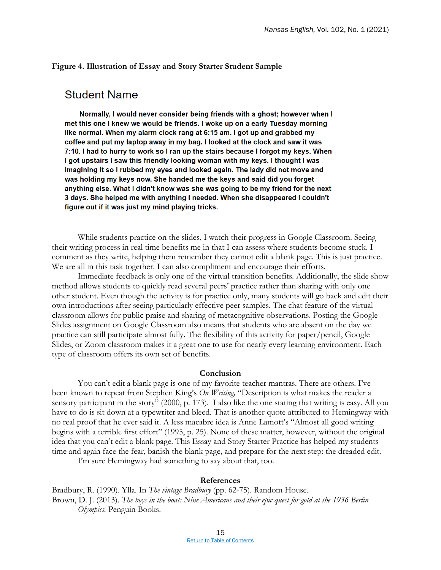### **Figure 4. Illustration of Essay and Story Starter Student Sample**

### **Student Name**

Normally, I would never consider being friends with a ghost; however when I met this one I knew we would be friends. I woke up on a early Tuesday morning like normal. When my alarm clock rang at 6:15 am. I got up and grabbed my coffee and put my laptop away in my bag. I looked at the clock and saw it was 7:10. I had to hurry to work so I ran up the stairs because I forgot my keys. When I got upstairs I saw this friendly looking woman with my keys. I thought I was imagining it so I rubbed my eyes and looked again. The lady did not move and was holding my keys now. She handed me the keys and said did you forget anything else. What I didn't know was she was going to be my friend for the next 3 days. She helped me with anything I needed. When she disappeared I couldn't figure out if it was just my mind playing tricks.

While students practice on the slides, I watch their progress in Google Classroom. Seeing their writing process in real time benefits me in that I can assess where students become stuck. I comment as they write, helping them remember they cannot edit a blank page. This is just practice. We are all in this task together. I can also compliment and encourage their efforts.

Immediate feedback is only one of the virtual transition benefits. Additionally, the slide show method allows students to quickly read several peers' practice rather than sharing with only one other student. Even though the activity is for practice only, many students will go back and edit their own introductions after seeing particularly effective peer samples. The chat feature of the virtual classroom allows for public praise and sharing of metacognitive observations. Posting the Google Slides assignment on Google Classroom also means that students who are absent on the day we practice can still participate almost fully. The flexibility of this activity for paper/pencil, Google Slides, or Zoom classroom makes it a great one to use for nearly every learning environment. Each type of classroom offers its own set of benefits.

### **Conclusion**

You can't edit a blank page is one of my favorite teacher mantras. There are others. I've been known to repeat from Stephen King's *On Writing,* "Description is what makes the reader a sensory participant in the story" (2000, p. 173). I also like the one stating that writing is easy. All you have to do is sit down at a typewriter and bleed. That is another quote attributed to Hemingway with no real proof that he ever said it. A less macabre idea is Anne Lamott's "Almost all good writing begins with a terrible first effort" (1995, p. 25). None of these matter, however, without the original idea that you can't edit a blank page. This Essay and Story Starter Practice has helped my students time and again face the fear, banish the blank page, and prepare for the next step: the dreaded edit.

I'm sure Hemingway had something to say about that, too.

#### **References**

Bradbury, R. (1990). Ylla. In *The vintage Bradbury* (pp. 62-75). Random House. Brown, D. J. (2013). *The boys in the boat: Nine Americans and their epic quest for gold at the 1936 Berlin Olympics.* Penguin Books.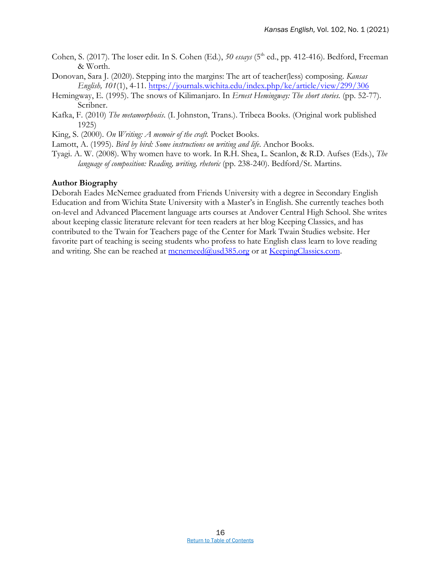- Cohen, S. (2017). The loser edit. In S. Cohen (Ed.), 50 essays (5<sup>th</sup> ed., pp. 412-416). Bedford, Freeman & Worth.
- Donovan, Sara J. (2020). Stepping into the margins: The art of teacher(less) composing. *Kansas English, 101*(1), 4-11.<https://journals.wichita.edu/index.php/ke/article/view/299/306>
- Hemingway, E. (1995). The snows of Kilimanjaro. In *Ernest Hemingway: The short stories.* (pp. 52-77). Scribner.
- Kafka, F. (2010) *The metamorphosis*. (I. Johnston, Trans.). Tribeca Books. (Original work published 1925)
- King, S. (2000). *On Writing: A memoir of the craft.* Pocket Books.
- Lamott, A. (1995). *Bird by bird: Some instructions on writing and life*. Anchor Books.
- Tyagi. A. W. (2008). Why women have to work. In R.H. Shea, L. Scanlon, & R.D. Aufses (Eds.), *The language of composition: Reading, writing, rhetoric* (pp. 238-240). Bedford/St. Martins.

#### **Author Biography**

Deborah Eades McNemee graduated from Friends University with a degree in Secondary English Education and from Wichita State University with a Master's in English. She currently teaches both on-level and Advanced Placement language arts courses at Andover Central High School. She writes about keeping classic literature relevant for teen readers at her blog Keeping Classics, and has contributed to the Twain for Teachers page of the Center for Mark Twain Studies website. Her favorite part of teaching is seeing students who profess to hate English class learn to love reading and writing. She can be reached at mcnemeed $@u$ sd $385.org$  or at [KeepingClassics.com.](https://keepingclassics.com/)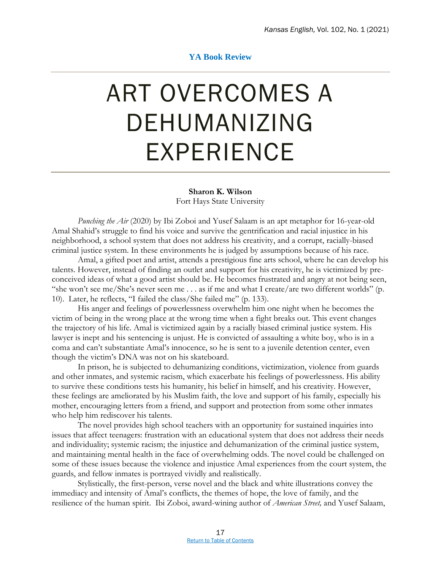### **YA Book Review**

### <span id="page-21-0"></span>ART OVERCOMES A DEHUMANIZING EXPERIENCE

#### **Sharon K. Wilson**

Fort Hays State University

*Punching the Air* (2020) by Ibi Zoboi and Yusef Salaam is an apt metaphor for 16-year-old Amal Shahid's struggle to find his voice and survive the gentrification and racial injustice in his neighborhood, a school system that does not address his creativity, and a corrupt, racially-biased criminal justice system. In these environments he is judged by assumptions because of his race.

Amal, a gifted poet and artist, attends a prestigious fine arts school, where he can develop his talents. However, instead of finding an outlet and support for his creativity, he is victimized by preconceived ideas of what a good artist should be. He becomes frustrated and angry at not being seen, "she won't see me/She's never seen me . . . as if me and what I create/are two different worlds" (p. 10). Later, he reflects, "I failed the class/She failed me" (p. 133).

His anger and feelings of powerlessness overwhelm him one night when he becomes the victim of being in the wrong place at the wrong time when a fight breaks out. This event changes the trajectory of his life. Amal is victimized again by a racially biased criminal justice system. His lawyer is inept and his sentencing is unjust. He is convicted of assaulting a white boy, who is in a coma and can't substantiate Amal's innocence, so he is sent to a juvenile detention center, even though the victim's DNA was not on his skateboard.

In prison, he is subjected to dehumanizing conditions, victimization, violence from guards and other inmates, and systemic racism, which exacerbate his feelings of powerlessness. His ability to survive these conditions tests his humanity, his belief in himself, and his creativity. However, these feelings are ameliorated by his Muslim faith, the love and support of his family, especially his mother, encouraging letters from a friend, and support and protection from some other inmates who help him rediscover his talents.

The novel provides high school teachers with an opportunity for sustained inquiries into issues that affect teenagers: frustration with an educational system that does not address their needs and individuality; systemic racism; the injustice and dehumanization of the criminal justice system, and maintaining mental health in the face of overwhelming odds. The novel could be challenged on some of these issues because the violence and injustice Amal experiences from the court system, the guards, and fellow inmates is portrayed vividly and realistically.

Stylistically, the first-person, verse novel and the black and white illustrations convey the immediacy and intensity of Amal's conflicts, the themes of hope, the love of family, and the resilience of the human spirit. Ibi Zoboi, award-wining author of *American Street,* and Yusef Salaam,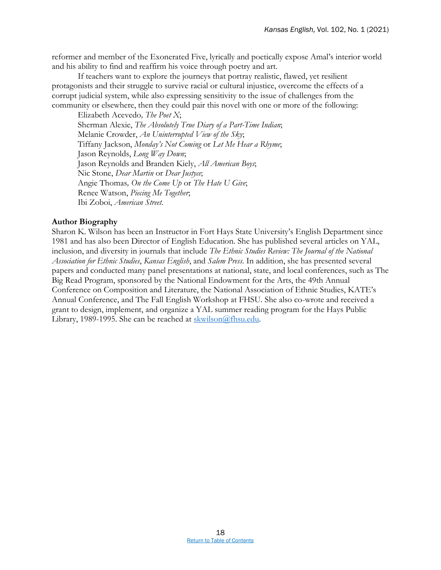reformer and member of the Exonerated Five, lyrically and poetically expose Amal's interior world and his ability to find and reaffirm his voice through poetry and art.

If teachers want to explore the journeys that portray realistic, flawed, yet resilient protagonists and their struggle to survive racial or cultural injustice, overcome the effects of a corrupt judicial system, while also expressing sensitivity to the issue of challenges from the community or elsewhere, then they could pair this novel with one or more of the following:

Elizabeth Acevedo*, The Poet X*; Sherman Alexie, *The Absolutely True Diary of a Part-Time Indian*; Melanie Crowder, *An Uninterrupted View of the Sky*; Tiffany Jackson, *Monday's Not Coming* or *Let Me Hear a Rhyme*; Jason Reynolds, *Long Way Down*; Jason Reynolds and Branden Kiely, *All American Boys*; Nic Stone, *Dear Martin* or *Dear Justyce*; Angie Thomas*, On the Come Up* or *The Hate U Give*; Renee Watson, *Piecing Me Together*; Ibi Zoboi, *American Street*.

### **Author Biography**

Sharon K. Wilson has been an Instructor in Fort Hays State University's English Department since 1981 and has also been Director of English Education. She has published several articles on YAL, inclusion, and diversity in journals that include *The Ethnic Studies Review: The Journal of the National Association for Ethnic Studies*, *Kansas English*, and *Salem Press*. In addition, she has presented several papers and conducted many panel presentations at national, state, and local conferences, such as The Big Read Program, sponsored by the National Endowment for the Arts, the 49th Annual Conference on Composition and Literature, the National Association of Ethnic Studies, KATE's Annual Conference, and The Fall English Workshop at FHSU. She also co-wrote and received a grant to design, implement, and organize a YAL summer reading program for the Hays Public Library, 1989-1995. She can be reached at [skwilson@fhsu.edu.](mailto:skwilson@fhsu.edu)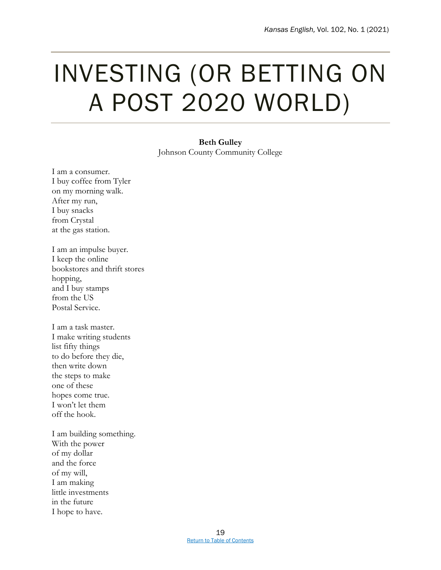### <span id="page-23-0"></span>INVESTING (OR BETTING ON A POST 2020 WORLD)

**Beth Gulley** Johnson County Community College

I am a consumer. I buy coffee from Tyler on my morning walk. After my run, I buy snacks from Crystal at the gas station.

I am an impulse buyer. I keep the online bookstores and thrift stores hopping, and I buy stamps from the US Postal Service.

I am a task master. I make writing students list fifty things to do before they die, then write down the steps to make one of these hopes come true. I won't let them off the hook.

I am building something. With the power of my dollar and the force of my will, I am making little investments in the future I hope to have.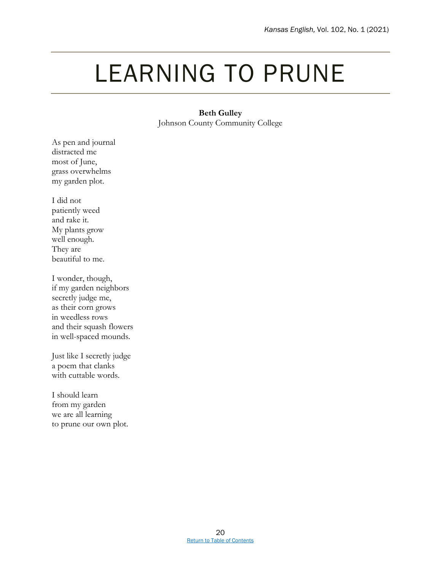### <span id="page-24-0"></span>LEARNING TO PRUNE

### **Beth Gulley**

Johnson County Community College

As pen and journal distracted me most of June, grass overwhelms my garden plot.

I did not patiently weed and rake it. My plants grow well enough. They are beautiful to me.

I wonder, though, if my garden neighbors secretly judge me, as their corn grows in weedless rows and their squash flowers in well-spaced mounds.

Just like I secretly judge a poem that clanks with cuttable words.

I should learn from my garden we are all learning to prune our own plot.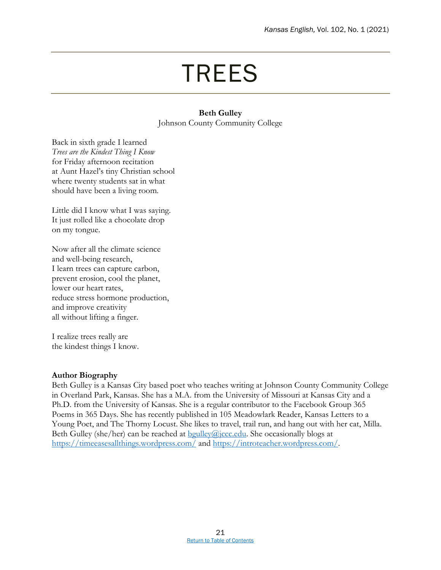### TREES

### **Beth Gulley** Johnson County Community College

<span id="page-25-0"></span>Back in sixth grade I learned *Trees are the Kindest Thing I Know* for Friday afternoon recitation at Aunt Hazel's tiny Christian school where twenty students sat in what should have been a living room.

Little did I know what I was saying. It just rolled like a chocolate drop on my tongue.

Now after all the climate science and well-being research, I learn trees can capture carbon, prevent erosion, cool the planet, lower our heart rates, reduce stress hormone production, and improve creativity all without lifting a finger.

I realize trees really are the kindest things I know.

### **Author Biography**

Beth Gulley is a Kansas City based poet who teaches writing at Johnson County Community College in Overland Park, Kansas. She has a M.A. from the University of Missouri at Kansas City and a Ph.D. from the University of Kansas. She is a regular contributor to the Facebook Group 365 Poems in 365 Days. She has recently published in 105 Meadowlark Reader, Kansas Letters to a Young Poet, and The Thorny Locust. She likes to travel, trail run, and hang out with her cat, Milla. Beth Gulley (she/her) can be reached at  $\frac{b \cdot g}{d}$  (ccc.edu. She occasionally blogs at <https://timeeasesallthings.wordpress.com/> and [https://introteacher.wordpress.com/.](https://introteacher.wordpress.com/)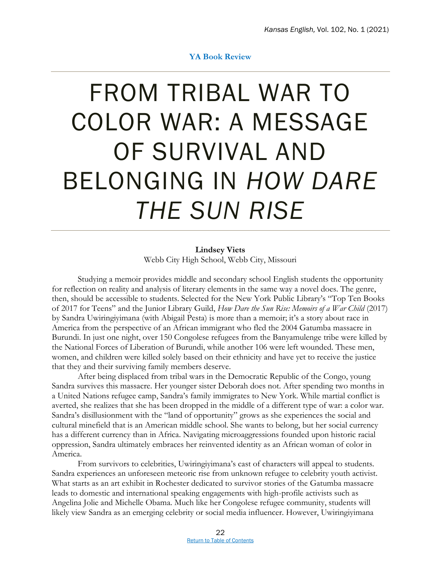### **YA Book Review**

### <span id="page-26-0"></span>FROM TRIBAL WAR TO COLOR WAR: A MESSAGE OF SURVIVAL AND BELONGING IN *HOW DARE THE SUN RISE*

**Lindsey Viets** Webb City High School, Webb City, Missouri

Studying a memoir provides middle and secondary school English students the opportunity for reflection on reality and analysis of literary elements in the same way a novel does. The genre, then, should be accessible to students. Selected for the New York Public Library's "Top Ten Books of 2017 for Teens" and the Junior Library Guild, *How Dare the Sun Rise: Memoirs of a War Child* (2017) by Sandra Uwiringiyimana (with Abigail Pesta) is more than a memoir; it's a story about race in America from the perspective of an African immigrant who fled the 2004 Gatumba massacre in Burundi. In just one night, over 150 Congolese refugees from the Banyamulenge tribe were killed by the National Forces of Liberation of Burundi, while another 106 were left wounded. These men, women, and children were killed solely based on their ethnicity and have yet to receive the justice that they and their surviving family members deserve.

After being displaced from tribal wars in the Democratic Republic of the Congo, young Sandra survives this massacre. Her younger sister Deborah does not. After spending two months in a United Nations refugee camp, Sandra's family immigrates to New York. While martial conflict is averted, she realizes that she has been dropped in the middle of a different type of war: a color war. Sandra's disillusionment with the "land of opportunity" grows as she experiences the social and cultural minefield that is an American middle school. She wants to belong, but her social currency has a different currency than in Africa. Navigating microaggressions founded upon historic racial oppression, Sandra ultimately embraces her reinvented identity as an African woman of color in America.

From survivors to celebrities, Uwiringiyimana's cast of characters will appeal to students. Sandra experiences an unforeseen meteoric rise from unknown refugee to celebrity youth activist. What starts as an art exhibit in Rochester dedicated to survivor stories of the Gatumba massacre leads to domestic and international speaking engagements with high-profile activists such as Angelina Jolie and Michelle Obama. Much like her Congolese refugee community, students will likely view Sandra as an emerging celebrity or social media influencer. However, Uwiringiyimana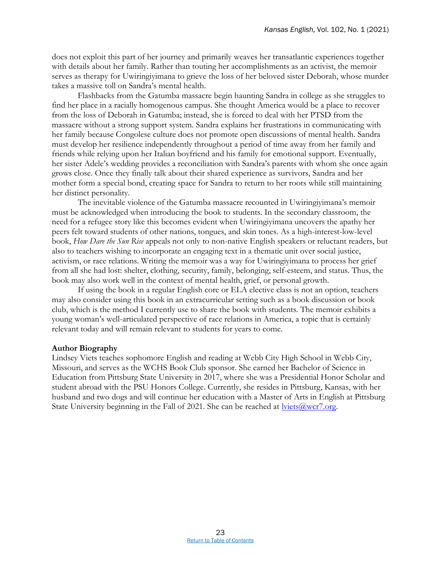does not exploit this part of her journey and primarily weaves her transatlantic experiences together with details about her family. Rather than touting her accomplishments as an activist, the memoir serves as therapy for Uwiringiyimana to grieve the loss of her beloved sister Deborah, whose murder takes a massive toll on Sandra's mental health.

Flashbacks from the Gatumba massacre begin haunting Sandra in college as she struggles to find her place in a racially homogenous campus. She thought America would be a place to recover from the loss of Deborah in Gatumba; instead, she is forced to deal with her PTSD from the massacre without a strong support system. Sandra explains her frustrations in communicating with her family because Congolese culture does not promote open discussions of mental health. Sandra must develop her resilience independently throughout a period of time away from her family and friends while relying upon her Italian boyfriend and his family for emotional support. Eventually, her sister Adele's wedding provides a reconciliation with Sandra's parents with whom she once again grows close. Once they finally talk about their shared experience as survivors, Sandra and her mother form a special bond, creating space for Sandra to return to her roots while still maintaining her distinct personality.

The inevitable violence of the Gatumba massacre recounted in Uwiringiyimana's memoir must be acknowledged when introducing the book to students. In the secondary classroom, the need for a refugee story like this becomes evident when Uwiringiyimana uncovers the apathy her peers felt toward students of other nations, tongues, and skin tones. As a high-interest-low-level book, *How Dare the Sun Rise* appeals not only to non-native English speakers or reluctant readers, but also to teachers wishing to incorporate an engaging text in a thematic unit over social justice, activism, or race relations. Writing the memoir was a way for Uwiringiyimana to process her grief from all she had lost: shelter, clothing, security, family, belonging, self-esteem, and status. Thus, the book may also work well in the context of mental health, grief, or personal growth.

If using the book in a regular English core or ELA elective class is not an option, teachers may also consider using this book in an extracurricular setting such as a book discussion or book club, which is the method I currently use to share the book with students. The memoir exhibits a young woman's well-articulated perspective of race relations in America, a topic that is certainly relevant today and will remain relevant to students for years to come.

### **Author Biography**

Lindsey Viets teaches sophomore English and reading at Webb City High School in Webb City, Missouri, and serves as the WCHS Book Club sponsor. She earned her Bachelor of Science in Education from Pittsburg State University in 2017, where she was a Presidential Honor Scholar and student abroad with the PSU Honors College. Currently, she resides in Pittsburg, Kansas, with her husband and two dogs and will continue her education with a Master of Arts in English at Pittsburg State University beginning in the Fall of 2021. She can be reached at  $\frac{iv\text{lets@wcr7.}$  org.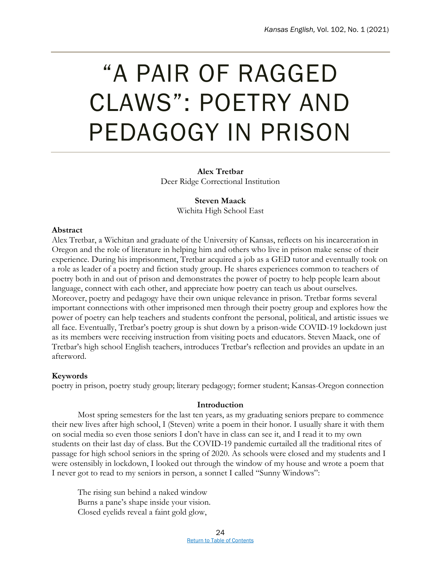### <span id="page-28-0"></span>"A PAIR OF RAGGED CLAWS": POETRY AND PEDAGOGY IN PRISON

**Alex Tretbar** Deer Ridge Correctional Institution

> **Steven Maack** Wichita High School East

### **Abstract**

Alex Tretbar, a Wichitan and graduate of the University of Kansas, reflects on his incarceration in Oregon and the role of literature in helping him and others who live in prison make sense of their experience. During his imprisonment, Tretbar acquired a job as a GED tutor and eventually took on a role as leader of a poetry and fiction study group. He shares experiences common to teachers of poetry both in and out of prison and demonstrates the power of poetry to help people learn about language, connect with each other, and appreciate how poetry can teach us about ourselves. Moreover, poetry and pedagogy have their own unique relevance in prison. Tretbar forms several important connections with other imprisoned men through their poetry group and explores how the power of poetry can help teachers and students confront the personal, political, and artistic issues we all face. Eventually, Tretbar's poetry group is shut down by a prison-wide COVID-19 lockdown just as its members were receiving instruction from visiting poets and educators. Steven Maack, one of Tretbar's high school English teachers, introduces Tretbar's reflection and provides an update in an afterword.

### **Keywords**

poetry in prison, poetry study group; literary pedagogy; former student; Kansas-Oregon connection

### **Introduction**

Most spring semesters for the last ten years, as my graduating seniors prepare to commence their new lives after high school, I (Steven) write a poem in their honor. I usually share it with them on social media so even those seniors I don't have in class can see it, and I read it to my own students on their last day of class. But the COVID-19 pandemic curtailed all the traditional rites of passage for high school seniors in the spring of 2020. As schools were closed and my students and I were ostensibly in lockdown, I looked out through the window of my house and wrote a poem that I never got to read to my seniors in person, a sonnet I called "Sunny Windows":

The rising sun behind a naked window Burns a pane's shape inside your vision. Closed eyelids reveal a faint gold glow,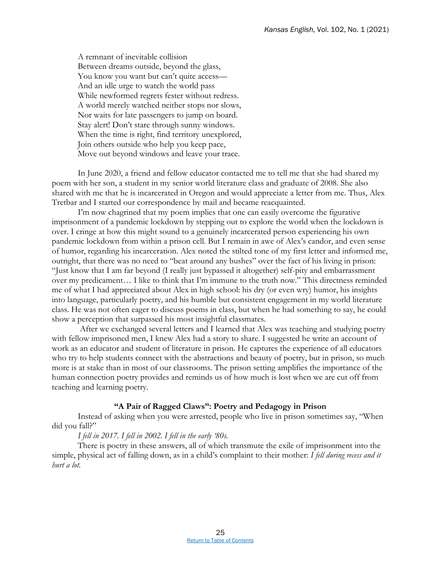A remnant of inevitable collision Between dreams outside, beyond the glass, You know you want but can't quite access-And an idle urge to watch the world pass While newformed regrets fester without redress. A world merely watched neither stops nor slows, Nor waits for late passengers to jump on board. Stay alert! Don't stare through sunny windows. When the time is right, find territory unexplored, Join others outside who help you keep pace, Move out beyond windows and leave your trace.

In June 2020, a friend and fellow educator contacted me to tell me that she had shared my poem with her son, a student in my senior world literature class and graduate of 2008. She also shared with me that he is incarcerated in Oregon and would appreciate a letter from me. Thus, Alex Tretbar and I started our correspondence by mail and became reacquainted.

I'm now chagrined that my poem implies that one can easily overcome the figurative imprisonment of a pandemic lockdown by stepping out to explore the world when the lockdown is over. I cringe at how this might sound to a genuinely incarcerated person experiencing his own pandemic lockdown from within a prison cell. But I remain in awe of Alex's candor, and even sense of humor, regarding his incarceration. Alex noted the stilted tone of my first letter and informed me, outright, that there was no need to "beat around any bushes" over the fact of his living in prison: "Just know that I am far beyond (I really just bypassed it altogether) self-pity and embarrassment over my predicament… I like to think that I'm immune to the truth now." This directness reminded me of what I had appreciated about Alex in high school: his dry (or even wry) humor, his insights into language, particularly poetry, and his humble but consistent engagement in my world literature class. He was not often eager to discuss poems in class, but when he had something to say, he could show a perception that surpassed his most insightful classmates.

After we exchanged several letters and I learned that Alex was teaching and studying poetry with fellow imprisoned men, I knew Alex had a story to share. I suggested he write an account of work as an educator and student of literature in prison. He captures the experience of all educators who try to help students connect with the abstractions and beauty of poetry, but in prison, so much more is at stake than in most of our classrooms. The prison setting amplifies the importance of the human connection poetry provides and reminds us of how much is lost when we are cut off from teaching and learning poetry.

### **"A Pair of Ragged Claws": Poetry and Pedagogy in Prison**

Instead of asking when you were arrested, people who live in prison sometimes say, "When did you fall?"

*I fell in 2017. I fell in 2002. I fell in the early '80s.*

There is poetry in these answers, all of which transmute the exile of imprisonment into the simple, physical act of falling down, as in a child's complaint to their mother: *I fell during recess and it hurt a lot.*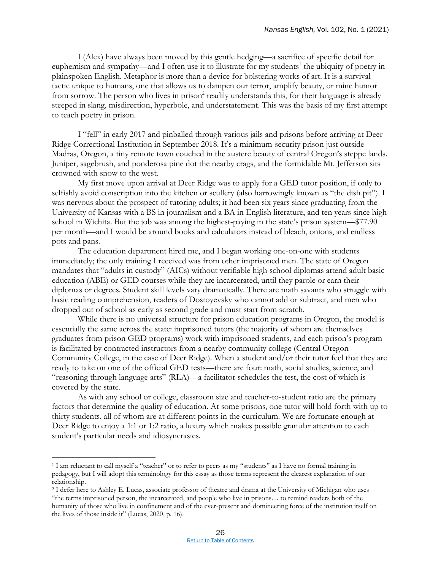I (Alex) have always been moved by this gentle hedging—a sacrifice of specific detail for euphemism and sympathy—and I often use it to illustrate for my students<sup>1</sup> the ubiquity of poetry in plainspoken English. Metaphor is more than a device for bolstering works of art. It is a survival tactic unique to humans, one that allows us to dampen our terror, amplify beauty, or mine humor from sorrow. The person who lives in prison<sup>2</sup> readily understands this, for their language is already steeped in slang, misdirection, hyperbole, and understatement. This was the basis of my first attempt to teach poetry in prison.

I "fell" in early 2017 and pinballed through various jails and prisons before arriving at Deer Ridge Correctional Institution in September 2018. It's a minimum-security prison just outside Madras, Oregon, a tiny remote town couched in the austere beauty of central Oregon's steppe lands. Juniper, sagebrush, and ponderosa pine dot the nearby crags, and the formidable Mt. Jefferson sits crowned with snow to the west.

My first move upon arrival at Deer Ridge was to apply for a GED tutor position, if only to selfishly avoid conscription into the kitchen or scullery (also harrowingly known as "the dish pit"). I was nervous about the prospect of tutoring adults; it had been six years since graduating from the University of Kansas with a BS in journalism and a BA in English literature, and ten years since high school in Wichita. But the job was among the highest-paying in the state's prison system—\$77.90 per month—and I would be around books and calculators instead of bleach, onions, and endless pots and pans.

The education department hired me, and I began working one-on-one with students immediately; the only training I received was from other imprisoned men. The state of Oregon mandates that "adults in custody" (AICs) without verifiable high school diplomas attend adult basic education (ABE) or GED courses while they are incarcerated, until they parole or earn their diplomas or degrees. Student skill levels vary dramatically. There are math savants who struggle with basic reading comprehension, readers of Dostoyevsky who cannot add or subtract, and men who dropped out of school as early as second grade and must start from scratch.

While there is no universal structure for prison education programs in Oregon, the model is essentially the same across the state: imprisoned tutors (the majority of whom are themselves graduates from prison GED programs) work with imprisoned students, and each prison's program is facilitated by contracted instructors from a nearby community college (Central Oregon Community College, in the case of Deer Ridge). When a student and/or their tutor feel that they are ready to take on one of the official GED tests—there are four: math, social studies, science, and "reasoning through language arts" (RLA)—a facilitator schedules the test, the cost of which is covered by the state.

As with any school or college, classroom size and teacher-to-student ratio are the primary factors that determine the quality of education. At some prisons, one tutor will hold forth with up to thirty students, all of whom are at different points in the curriculum. We are fortunate enough at Deer Ridge to enjoy a 1:1 or 1:2 ratio, a luxury which makes possible granular attention to each student's particular needs and idiosyncrasies.

 $\overline{a}$ 

<sup>1</sup> I am reluctant to call myself a "teacher" or to refer to peers as my "students" as I have no formal training in pedagogy, but I will adopt this terminology for this essay as those terms represent the clearest explanation of our relationship.

<sup>2</sup> I defer here to Ashley E. Lucas, associate professor of theatre and drama at the University of Michigan who uses "the terms imprisoned person, the incarcerated, and people who live in prisons… to remind readers both of the humanity of those who live in confinement and of the ever-present and domineering force of the institution itself on the lives of those inside it" (Lucas, 2020, p. 16).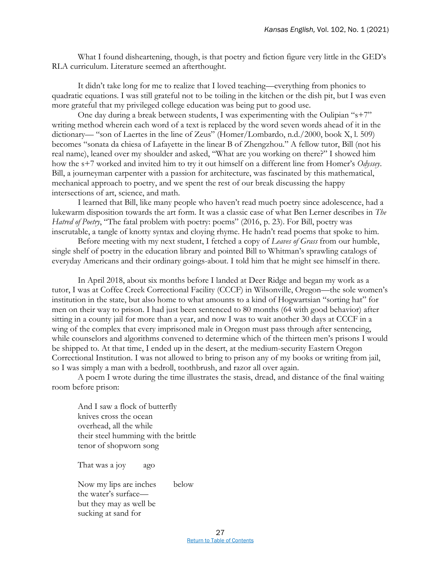What I found disheartening, though, is that poetry and fiction figure very little in the GED's RLA curriculum. Literature seemed an afterthought.

It didn't take long for me to realize that I loved teaching—everything from phonics to quadratic equations. I was still grateful not to be toiling in the kitchen or the dish pit, but I was even more grateful that my privileged college education was being put to good use.

One day during a break between students, I was experimenting with the Oulipian "s+7" writing method wherein each word of a text is replaced by the word seven words ahead of it in the dictionary— "son of Laertes in the line of Zeus" (Homer/Lombardo, n.d./2000, book X, l. 509) becomes "sonata da chiesa of Lafayette in the linear B of Zhengzhou." A fellow tutor, Bill (not his real name), leaned over my shoulder and asked, "What are you working on there?" I showed him how the s+7 worked and invited him to try it out himself on a different line from Homer's *Odyssey*. Bill, a journeyman carpenter with a passion for architecture, was fascinated by this mathematical, mechanical approach to poetry, and we spent the rest of our break discussing the happy intersections of art, science, and math.

I learned that Bill, like many people who haven't read much poetry since adolescence, had a lukewarm disposition towards the art form. It was a classic case of what Ben Lerner describes in *The Hatred of Poetry*, "The fatal problem with poetry: poems" (2016, p. 23). For Bill, poetry was inscrutable, a tangle of knotty syntax and cloying rhyme. He hadn't read poems that spoke to him.

Before meeting with my next student, I fetched a copy of *Leaves of Grass* from our humble, single shelf of poetry in the education library and pointed Bill to Whitman's sprawling catalogs of everyday Americans and their ordinary goings-about. I told him that he might see himself in there.

In April 2018, about six months before I landed at Deer Ridge and began my work as a tutor, I was at Coffee Creek Correctional Facility (CCCF) in Wilsonville, Oregon—the sole women's institution in the state, but also home to what amounts to a kind of Hogwartsian "sorting hat" for men on their way to prison. I had just been sentenced to 80 months (64 with good behavior) after sitting in a county jail for more than a year, and now I was to wait another 30 days at CCCF in a wing of the complex that every imprisoned male in Oregon must pass through after sentencing, while counselors and algorithms convened to determine which of the thirteen men's prisons I would be shipped to. At that time, I ended up in the desert, at the medium-security Eastern Oregon Correctional Institution. I was not allowed to bring to prison any of my books or writing from jail, so I was simply a man with a bedroll, toothbrush, and razor all over again.

A poem I wrote during the time illustrates the stasis, dread, and distance of the final waiting room before prison:

And I saw a flock of butterfly knives cross the ocean overhead, all the while their steel humming with the brittle tenor of shopworn song

That was a joy ago

Now my lips are inches below the water's surface but they may as well be sucking at sand for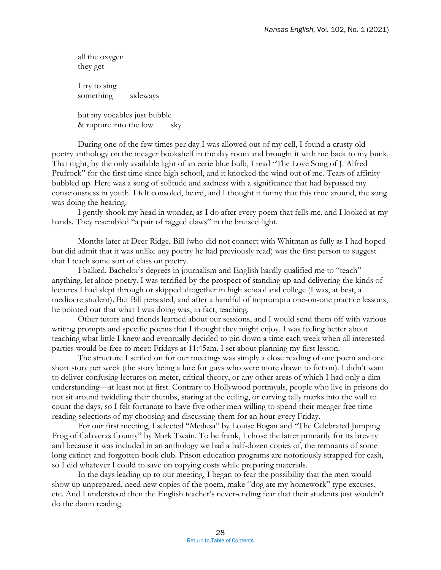all the oxygen they get I try to sing something sideways

but my vocables just bubble & rupture into the low sky

During one of the few times per day I was allowed out of my cell, I found a crusty old poetry anthology on the meager bookshelf in the day room and brought it with me back to my bunk. That night, by the only available light of an eerie blue bulb, I read "The Love Song of J. Alfred Prufrock" for the first time since high school, and it knocked the wind out of me. Tears of affinity bubbled up. Here was a song of solitude and sadness with a significance that had bypassed my consciousness in youth. I felt consoled, heard, and I thought it funny that this time around, the song was doing the hearing.

I gently shook my head in wonder, as I do after every poem that fells me, and I looked at my hands. They resembled "a pair of ragged claws" in the bruised light.

Months later at Deer Ridge, Bill (who did not connect with Whitman as fully as I had hoped but did admit that it was unlike any poetry he had previously read) was the first person to suggest that I teach some sort of class on poetry.

I balked. Bachelor's degrees in journalism and English hardly qualified me to "teach" anything, let alone poetry. I was terrified by the prospect of standing up and delivering the kinds of lectures I had slept through or skipped altogether in high school and college (I was, at best, a mediocre student). But Bill persisted, and after a handful of impromptu one-on-one practice lessons, he pointed out that what I was doing was, in fact, teaching.

Other tutors and friends learned about our sessions, and I would send them off with various writing prompts and specific poems that I thought they might enjoy. I was feeling better about teaching what little I knew and eventually decided to pin down a time each week when all interested parties would be free to meet: Fridays at 11:45am. I set about planning my first lesson.

The structure I settled on for our meetings was simply a close reading of one poem and one short story per week (the story being a lure for guys who were more drawn to fiction). I didn't want to deliver confusing lectures on meter, critical theory, or any other areas of which I had only a dim understanding—at least not at first. Contrary to Hollywood portrayals, people who live in prisons do not sit around twiddling their thumbs, staring at the ceiling, or carving tally marks into the wall to count the days, so I felt fortunate to have five other men willing to spend their meager free time reading selections of my choosing and discussing them for an hour every Friday.

For our first meeting, I selected "Medusa" by Louise Bogan and "The Celebrated Jumping Frog of Calaveras County" by Mark Twain. To be frank, I chose the latter primarily for its brevity and because it was included in an anthology we had a half-dozen copies of, the remnants of some long extinct and forgotten book club. Prison education programs are notoriously strapped for cash, so I did whatever I could to save on copying costs while preparing materials.

In the days leading up to our meeting, I began to fear the possibility that the men would show up unprepared, need new copies of the poem, make "dog ate my homework" type excuses, etc. And I understood then the English teacher's never-ending fear that their students just wouldn't do the damn reading.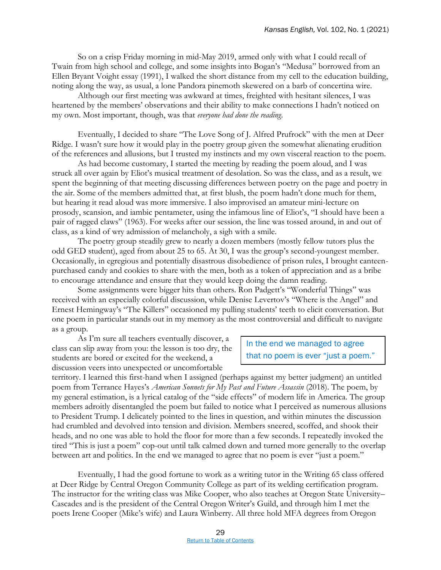So on a crisp Friday morning in mid-May 2019, armed only with what I could recall of Twain from high school and college, and some insights into Bogan's "Medusa" borrowed from an Ellen Bryant Voight essay (1991), I walked the short distance from my cell to the education building, noting along the way, as usual, a lone Pandora pinemoth skewered on a barb of concertina wire.

Although our first meeting was awkward at times, freighted with hesitant silences, I was heartened by the members' observations and their ability to make connections I hadn't noticed on my own. Most important, though, was that *everyone had done the reading*.

Eventually, I decided to share "The Love Song of J. Alfred Prufrock" with the men at Deer Ridge. I wasn't sure how it would play in the poetry group given the somewhat alienating erudition of the references and allusions, but I trusted my instincts and my own visceral reaction to the poem.

As had become customary, I started the meeting by reading the poem aloud, and I was struck all over again by Eliot's musical treatment of desolation. So was the class, and as a result, we spent the beginning of that meeting discussing differences between poetry on the page and poetry in the air. Some of the members admitted that, at first blush, the poem hadn't done much for them, but hearing it read aloud was more immersive. I also improvised an amateur mini-lecture on prosody, scansion, and iambic pentameter, using the infamous line of Eliot's, "I should have been a pair of ragged claws" (1963). For weeks after our session, the line was tossed around, in and out of class, as a kind of wry admission of melancholy, a sigh with a smile.

The poetry group steadily grew to nearly a dozen members (mostly fellow tutors plus the odd GED student), aged from about 25 to 65. At 30, I was the group's second-youngest member. Occasionally, in egregious and potentially disastrous disobedience of prison rules, I brought canteenpurchased candy and cookies to share with the men, both as a token of appreciation and as a bribe to encourage attendance and ensure that they would keep doing the damn reading.

Some assignments were bigger hits than others. Ron Padgett's "Wonderful Things" was received with an especially colorful discussion, while Denise Levertov's "Where is the Angel" and Ernest Hemingway's "The Killers" occasioned my pulling students' teeth to elicit conversation. But one poem in particular stands out in my memory as the most controversial and difficult to navigate as a group.

As I'm sure all teachers eventually discover, a class can slip away from you: the lesson is too dry, the students are bored or excited for the weekend, a discussion veers into unexpected or uncomfortable

In the end we managed to agree that no poem is ever "just a poem."

territory. I learned this first-hand when I assigned (perhaps against my better judgment) an untitled poem from Terrance Hayes's *American Sonnets for My Past and Future Assassin* (2018). The poem, by my general estimation, is a lyrical catalog of the "side effects" of modern life in America. The group members adroitly disentangled the poem but failed to notice what I perceived as numerous allusions to President Trump. I delicately pointed to the lines in question, and within minutes the discussion had crumbled and devolved into tension and division. Members sneered, scoffed, and shook their heads, and no one was able to hold the floor for more than a few seconds. I repeatedly invoked the tired "This is just a poem" cop-out until talk calmed down and turned more generally to the overlap between art and politics. In the end we managed to agree that no poem is ever "just a poem."

Eventually, I had the good fortune to work as a writing tutor in the Writing 65 class offered at Deer Ridge by Central Oregon Community College as part of its welding certification program. The instructor for the writing class was Mike Cooper, who also teaches at Oregon State University– Cascades and is the president of the Central Oregon Writer's Guild, and through him I met the poets Irene Cooper (Mike's wife) and Laura Winberry. All three hold MFA degrees from Oregon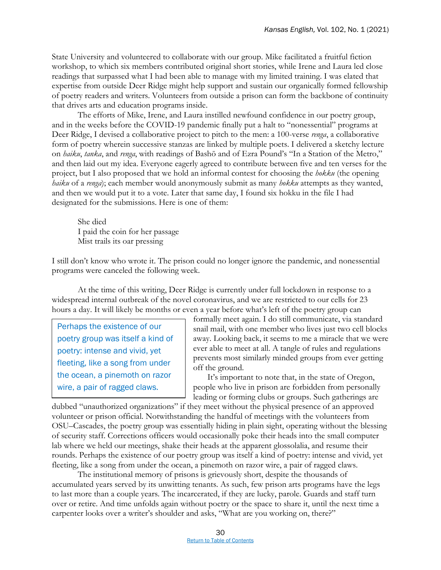State University and volunteered to collaborate with our group. Mike facilitated a fruitful fiction workshop, to which six members contributed original short stories, while Irene and Laura led close readings that surpassed what I had been able to manage with my limited training. I was elated that expertise from outside Deer Ridge might help support and sustain our organically formed fellowship of poetry readers and writers. Volunteers from outside a prison can form the backbone of continuity that drives arts and education programs inside.

The efforts of Mike, Irene, and Laura instilled newfound confidence in our poetry group, and in the weeks before the COVID-19 pandemic finally put a halt to "nonessential" programs at Deer Ridge, I devised a collaborative project to pitch to the men: a 100-verse *renga*, a collaborative form of poetry wherein successive stanzas are linked by multiple poets. I delivered a sketchy lecture on *haiku*, *tanka*, and *renga*, with readings of Bashō and of Ezra Pound's "In a Station of the Metro," and then laid out my idea. Everyone eagerly agreed to contribute between five and ten verses for the project, but I also proposed that we hold an informal contest for choosing the *hokku* (the opening *haiku* of a *renga*); each member would anonymously submit as many *hokku* attempts as they wanted, and then we would put it to a vote. Later that same day, I found six hokku in the file I had designated for the submissions. Here is one of them:

She died I paid the coin for her passage Mist trails its oar pressing

I still don't know who wrote it. The prison could no longer ignore the pandemic, and nonessential programs were canceled the following week.

At the time of this writing, Deer Ridge is currently under full lockdown in response to a widespread internal outbreak of the novel coronavirus, and we are restricted to our cells for 23 hours a day. It will likely be months or even a year before what's left of the poetry group can

Perhaps the existence of our poetry group was itself a kind of poetry: intense and vivid, yet fleeting, like a song from under the ocean, a pinemoth on razor wire, a pair of ragged claws.

formally meet again. I do still communicate, via standard snail mail, with one member who lives just two cell blocks away. Looking back, it seems to me a miracle that we were ever able to meet at all. A tangle of rules and regulations prevents most similarly minded groups from ever getting off the ground.

It's important to note that, in the state of Oregon, people who live in prison are forbidden from personally leading or forming clubs or groups. Such gatherings are

dubbed "unauthorized organizations" if they meet without the physical presence of an approved volunteer or prison official. Notwithstanding the handful of meetings with the volunteers from OSU–Cascades, the poetry group was essentially hiding in plain sight, operating without the blessing of security staff. Corrections officers would occasionally poke their heads into the small computer lab where we held our meetings, shake their heads at the apparent glossolalia, and resume their rounds. Perhaps the existence of our poetry group was itself a kind of poetry: intense and vivid, yet fleeting, like a song from under the ocean, a pinemoth on razor wire, a pair of ragged claws.

The institutional memory of prisons is grievously short, despite the thousands of accumulated years served by its unwitting tenants. As such, few prison arts programs have the legs to last more than a couple years. The incarcerated, if they are lucky, parole. Guards and staff turn over or retire. And time unfolds again without poetry or the space to share it, until the next time a carpenter looks over a writer's shoulder and asks, "What are you working on, there?"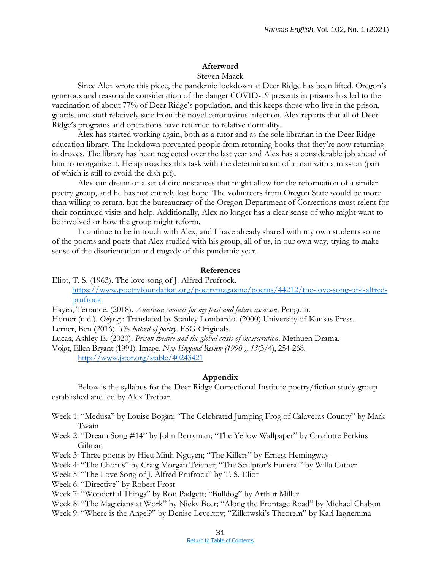### **Afterword**

### Steven Maack

Since Alex wrote this piece, the pandemic lockdown at Deer Ridge has been lifted. Oregon's generous and reasonable consideration of the danger COVID-19 presents in prisons has led to the vaccination of about 77% of Deer Ridge's population, and this keeps those who live in the prison, guards, and staff relatively safe from the novel coronavirus infection. Alex reports that all of Deer Ridge's programs and operations have returned to relative normality.

Alex has started working again, both as a tutor and as the sole librarian in the Deer Ridge education library. The lockdown prevented people from returning books that they're now returning in droves. The library has been neglected over the last year and Alex has a considerable job ahead of him to reorganize it. He approaches this task with the determination of a man with a mission (part of which is still to avoid the dish pit).

Alex can dream of a set of circumstances that might allow for the reformation of a similar poetry group, and he has not entirely lost hope. The volunteers from Oregon State would be more than willing to return, but the bureaucracy of the Oregon Department of Corrections must relent for their continued visits and help. Additionally, Alex no longer has a clear sense of who might want to be involved or how the group might reform.

I continue to be in touch with Alex, and I have already shared with my own students some of the poems and poets that Alex studied with his group, all of us, in our own way, trying to make sense of the disorientation and tragedy of this pandemic year.

### **References**

- Eliot, T. S. (1963). The love song of J. Alfred Prufrock. [https://www.poetryfoundation.org/poetrymagazine/poems/44212/the-love-song-of-j-alfred](https://www.poetryfoundation.org/poetrymagazine/poems/44212/the-love-song-of-j-alfred-prufrock)[prufrock](https://www.poetryfoundation.org/poetrymagazine/poems/44212/the-love-song-of-j-alfred-prufrock)
- Hayes, Terrance. (2018). *American sonnets for my past and future assassin*. Penguin.

Homer (n.d.). *Odyssey*: Translated by Stanley Lombardo. (2000) University of Kansas Press.

Lerner, Ben (2016). *The hatred of poetry*. FSG Originals.

Lucas, Ashley E. (2020). *Prison theatre and the global crisis of incarceration*. Methuen Drama.

Voigt, Ellen Bryant (1991). Image. *New England Review (1990-), 13*(3/4), 254-268. <http://www.jstor.org/stable/40243421>

### **Appendix**

Below is the syllabus for the Deer Ridge Correctional Institute poetry/fiction study group established and led by Alex Tretbar.

- Week 1: "Medusa" by Louise Bogan; "The Celebrated Jumping Frog of Calaveras County" by Mark Twain
- Week 2: "Dream Song #14" by John Berryman; "The Yellow Wallpaper" by Charlotte Perkins Gilman
- Week 3: Three poems by Hieu Minh Nguyen; "The Killers" by Ernest Hemingway
- Week 4: "The Chorus" by Craig Morgan Teicher; "The Sculptor's Funeral" by Willa Cather
- Week 5: "The Love Song of J. Alfred Prufrock" by T. S. Eliot
- Week 6: "Directive" by Robert Frost
- Week 7: "Wonderful Things" by Ron Padgett; "Bulldog" by Arthur Miller

Week 8: "The Magicians at Work" by Nicky Beer; "Along the Frontage Road" by Michael Chabon

Week 9: "Where is the Angel?" by Denise Levertov; "Zilkowski's Theorem" by Karl Iagnemma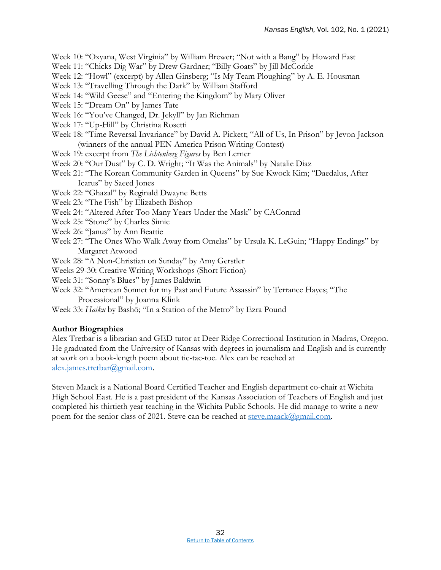Week 10: "Oxyana, West Virginia" by William Brewer; "Not with a Bang" by Howard Fast

- Week 11: "Chicks Dig War" by Drew Gardner; "Billy Goats" by Jill McCorkle
- Week 12: "Howl" (excerpt) by Allen Ginsberg; "Is My Team Ploughing" by A. E. Housman
- Week 13: "Travelling Through the Dark" by William Stafford
- Week 14: "Wild Geese" and "Entering the Kingdom" by Mary Oliver
- Week 15: "Dream On" by James Tate
- Week 16: "You've Changed, Dr. Jekyll" by Jan Richman
- Week 17: "Up-Hill" by Christina Rosetti
- Week 18: "Time Reversal Invariance" by David A. Pickett; "All of Us, In Prison" by Jevon Jackson (winners of the annual PEN America Prison Writing Contest)
- Week 19: excerpt from *The Lichtenberg Figures* by Ben Lerner
- Week 20: "Our Dust" by C. D. Wright; "It Was the Animals" by Natalie Diaz
- Week 21: "The Korean Community Garden in Queens" by Sue Kwock Kim; "Daedalus, After Icarus" by Saeed Jones
- Week 22: "Ghazal" by Reginald Dwayne Betts
- Week 23: "The Fish" by Elizabeth Bishop
- Week 24: "Altered After Too Many Years Under the Mask" by CAConrad
- Week 25: "Stone" by Charles Simic
- Week 26: "Janus" by Ann Beattie
- Week 27: "The Ones Who Walk Away from Omelas" by Ursula K. LeGuin; "Happy Endings" by Margaret Atwood

Week 28: "A Non-Christian on Sunday" by Amy Gerstler

- Weeks 29-30: Creative Writing Workshops (Short Fiction)
- Week 31: "Sonny's Blues" by James Baldwin
- Week 32: "American Sonnet for my Past and Future Assassin" by Terrance Hayes; "The Processional" by Joanna Klink
- Week 33: *Haiku* by Bashō; "In a Station of the Metro" by Ezra Pound

### **Author Biographies**

Alex Tretbar is a librarian and GED tutor at Deer Ridge Correctional Institution in Madras, Oregon. He graduated from the University of Kansas with degrees in journalism and English and is currently at work on a book-length poem about tic-tac-toe. Alex can be reached at [alex.james.tretbar@gmail.com.](mailto:alex.james.tretbar@gmail.com)

Steven Maack is a National Board Certified Teacher and English department co-chair at Wichita High School East. He is a past president of the Kansas Association of Teachers of English and just completed his thirtieth year teaching in the Wichita Public Schools. He did manage to write a new poem for the senior class of 2021. Steve can be reached at [steve.maack@gmail.com.](mailto:steve.maack@gmail.com)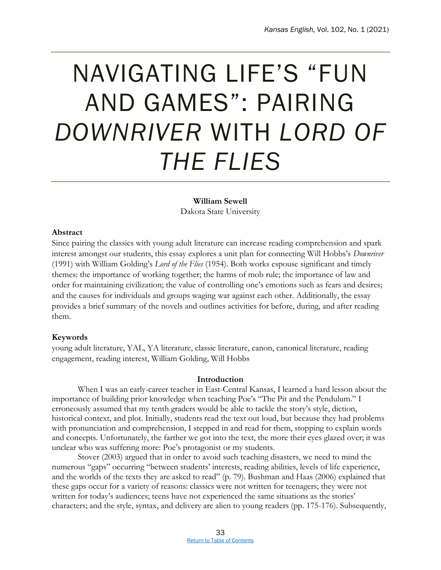### <span id="page-37-0"></span>NAVIGATING LIFE'S "FUN AND GAMES": PAIRING *DOWNRIVER* WITH *LORD OF THE FLIES*

### **William Sewell**

Dakota State University

### **Abstract**

Since pairing the classics with young adult literature can increase reading comprehension and spark interest amongst our students, this essay explores a unit plan for connecting Will Hobbs's *Downriver*  (1991) with William Golding's *Lord of the Flies* (1954). Both works espouse significant and timely themes: the importance of working together; the harms of mob rule; the importance of law and order for maintaining civilization; the value of controlling one's emotions such as fears and desires; and the causes for individuals and groups waging war against each other. Additionally, the essay provides a brief summary of the novels and outlines activities for before, during, and after reading them.

### **Keywords**

young adult literature, YAL, YA literature, classic literature, canon, canonical literature, reading engagement, reading interest, William Golding, Will Hobbs

### **Introduction**

When I was an early-career teacher in East-Central Kansas, I learned a hard lesson about the importance of building prior knowledge when teaching Poe's "The Pit and the Pendulum." I erroneously assumed that my tenth graders would be able to tackle the story's style, diction, historical context, and plot. Initially, students read the text out loud, but because they had problems with pronunciation and comprehension, I stepped in and read for them, stopping to explain words and concepts. Unfortunately, the farther we got into the text, the more their eyes glazed over; it was unclear who was suffering more: Poe's protagonist or my students.

Stover (2003) argued that in order to avoid such teaching disasters, we need to mind the numerous "gaps" occurring "between students' interests, reading abilities, levels of life experience, and the worlds of the texts they are asked to read" (p. 79). Bushman and Haas (2006) explained that these gaps occur for a variety of reasons: classics were not written for teenagers; they were not written for today's audiences; teens have not experienced the same situations as the stories' characters; and the style, syntax, and delivery are alien to young readers (pp. 175-176). Subsequently,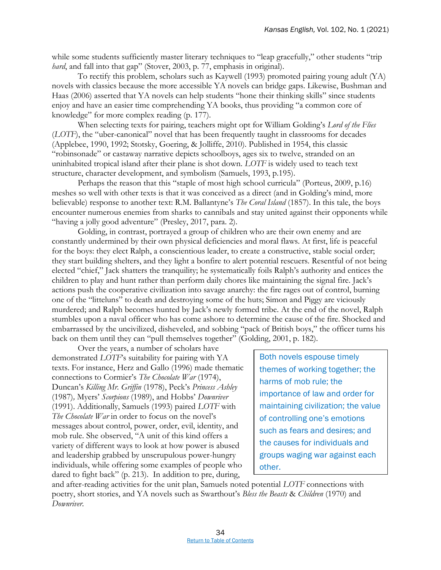while some students sufficiently master literary techniques to "leap gracefully," other students "trip" *hard*, and fall into that gap" (Stover, 2003, p. 77, emphasis in original).

To rectify this problem, scholars such as Kaywell (1993) promoted pairing young adult (YA) novels with classics because the more accessible YA novels can bridge gaps. Likewise, Bushman and Haas (2006) asserted that YA novels can help students "hone their thinking skills" since students enjoy and have an easier time comprehending YA books, thus providing "a common core of knowledge" for more complex reading (p. 177).

When selecting texts for pairing, teachers might opt for William Golding's *Lord of the Flies* (*LOTF*), the "uber-canonical" novel that has been frequently taught in classrooms for decades (Applebee, 1990, 1992; Stotsky, Goering, & Jolliffe, 2010). Published in 1954, this classic "robinsonade" or castaway narrative depicts schoolboys, ages six to twelve, stranded on an uninhabited tropical island after their plane is shot down. *LOTF* is widely used to teach text structure, character development, and symbolism (Samuels, 1993, p.195).

Perhaps the reason that this "staple of most high school curricula" (Porteus, 2009, p.16) meshes so well with other texts is that it was conceived as a direct (and in Golding's mind, more believable) response to another text: R.M. Ballantyne's *The Coral Island* (1857). In this tale, the boys encounter numerous enemies from sharks to cannibals and stay united against their opponents while "having a jolly good adventure" (Presley, 2017, para. 2).

Golding, in contrast, portrayed a group of children who are their own enemy and are constantly undermined by their own physical deficiencies and moral flaws. At first, life is peaceful for the boys: they elect Ralph, a conscientious leader, to create a constructive, stable social order; they start building shelters, and they light a bonfire to alert potential rescuers. Resentful of not being elected "chief," Jack shatters the tranquility; he systematically foils Ralph's authority and entices the children to play and hunt rather than perform daily chores like maintaining the signal fire. Jack's actions push the cooperative civilization into savage anarchy: the fire rages out of control, burning one of the "litteluns" to death and destroying some of the huts; Simon and Piggy are viciously murdered; and Ralph becomes hunted by Jack's newly formed tribe. At the end of the novel, Ralph stumbles upon a naval officer who has come ashore to determine the cause of the fire. Shocked and embarrassed by the uncivilized, disheveled, and sobbing "pack of British boys," the officer turns his back on them until they can "pull themselves together" (Golding, 2001, p. 182).

Over the years, a number of scholars have demonstrated *LOTF*'s suitability for pairing with YA texts. For instance, Herz and Gallo (1996) made thematic connections to Cormier's *The Chocolate War* (1974), Duncan's *Killing Mr. Griffin* (1978), Peck's *Princess Ashley* (1987)*,* Myers' *Scorpions* (1989), and Hobbs' *Downriver* (1991). Additionally, Samuels (1993) paired *LOTF* with *The Chocolate War* in order to focus on the novel's messages about control, power, order, evil, identity, and mob rule. She observed, "A unit of this kind offers a variety of different ways to look at how power is abused and leadership grabbed by unscrupulous power-hungry individuals, while offering some examples of people who dared to fight back" (p. 213). In addition to pre, during,

Both novels espouse timely themes of working together; the harms of mob rule; the importance of law and order for maintaining civilization; the value of controlling one's emotions such as fears and desires; and the causes for individuals and groups waging war against each other.

and after-reading activities for the unit plan, Samuels noted potential *LOTF* connections with poetry, short stories, and YA novels such as Swarthout's *Bless the Beasts* & *Children* (1970) and *Downriver*.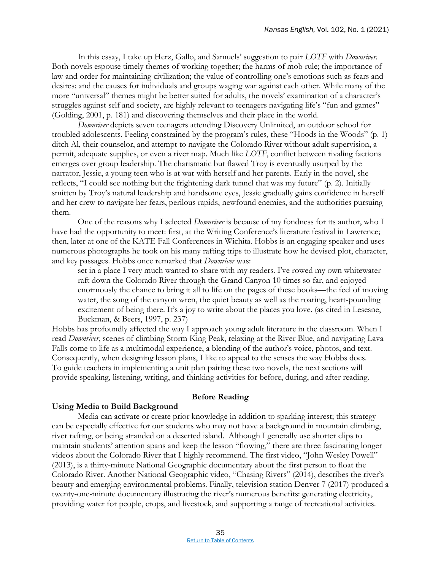In this essay, I take up Herz, Gallo, and Samuels' suggestion to pair *LOTF* with *Downriver*. Both novels espouse timely themes of working together; the harms of mob rule; the importance of law and order for maintaining civilization; the value of controlling one's emotions such as fears and desires; and the causes for individuals and groups waging war against each other. While many of the more "universal" themes might be better suited for adults, the novels' examination of a character's struggles against self and society, are highly relevant to teenagers navigating life's "fun and games" (Golding, 2001, p. 181) and discovering themselves and their place in the world.

*Downriver* depicts seven teenagers attending Discovery Unlimited, an outdoor school for troubled adolescents. Feeling constrained by the program's rules, these "Hoods in the Woods" (p. 1) ditch Al, their counselor, and attempt to navigate the Colorado River without adult supervision, a permit, adequate supplies, or even a river map. Much like *LOTF*, conflict between rivaling factions emerges over group leadership. The charismatic but flawed Troy is eventually usurped by the narrator, Jessie, a young teen who is at war with herself and her parents. Early in the novel, she reflects, "I could see nothing but the frightening dark tunnel that was my future" (p. 2). Initially smitten by Troy's natural leadership and handsome eyes, Jessie gradually gains confidence in herself and her crew to navigate her fears, perilous rapids, newfound enemies, and the authorities pursuing them.

One of the reasons why I selected *Downriver* is because of my fondness for its author, who I have had the opportunity to meet: first, at the Writing Conference's literature festival in Lawrence; then, later at one of the KATE Fall Conferences in Wichita. Hobbs is an engaging speaker and uses numerous photographs he took on his many rafting trips to illustrate how he devised plot, character, and key passages. Hobbs once remarked that *Downriver* was:

set in a place I very much wanted to share with my readers. I've rowed my own whitewater raft down the Colorado River through the Grand Canyon 10 times so far, and enjoyed enormously the chance to bring it all to life on the pages of these books—the feel of moving water, the song of the canyon wren, the quiet beauty as well as the roaring, heart-pounding excitement of being there. It's a joy to write about the places you love. (as cited in Lesesne, Buckman, & Beers, 1997, p. 237)

Hobbs has profoundly affected the way I approach young adult literature in the classroom. When I read *Downriver*, scenes of climbing Storm King Peak, relaxing at the River Blue, and navigating Lava Falls come to life as a multimodal experience, a blending of the author's voice, photos, and text. Consequently, when designing lesson plans, I like to appeal to the senses the way Hobbs does. To guide teachers in implementing a unit plan pairing these two novels, the next sections will provide speaking, listening, writing, and thinking activities for before, during, and after reading.

### **Before Reading**

### **Using Media to Build Background**

Media can activate or create prior knowledge in addition to sparking interest; this strategy can be especially effective for our students who may not have a background in mountain climbing, river rafting, or being stranded on a deserted island. Although I generally use shorter clips to maintain students' attention spans and keep the lesson "flowing," there are three fascinating longer videos about the Colorado River that I highly recommend. The first video, "John Wesley Powell" (2013), is a thirty-minute National Geographic documentary about the first person to float the Colorado River. Another National Geographic video, "Chasing Rivers" (2014), describes the river's beauty and emerging environmental problems. Finally, television station Denver 7 (2017) produced a twenty-one-minute documentary illustrating the river's numerous benefits: generating electricity, providing water for people, crops, and livestock, and supporting a range of recreational activities.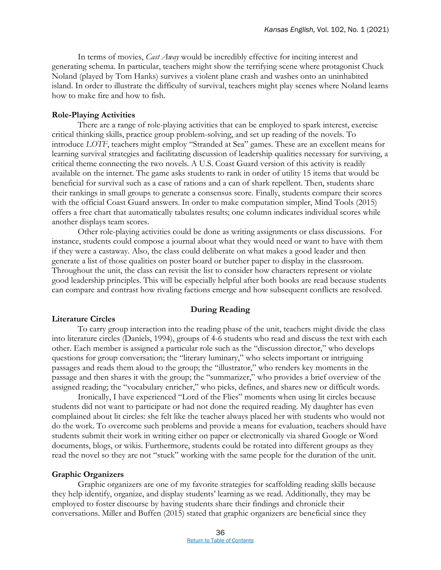In terms of movies, *Cast Away* would be incredibly effective for inciting interest and generating schema. In particular, teachers might show the terrifying scene where protagonist Chuck Noland (played by Tom Hanks) survives a violent plane crash and washes onto an uninhabited island. In order to illustrate the difficulty of survival, teachers might play scenes where Noland learns how to make fire and how to fish.

### **Role-Playing Activities**

There are a range of role-playing activities that can be employed to spark interest, exercise critical thinking skills, practice group problem-solving, and set up reading of the novels. To introduce *LOTF*, teachers might employ "Stranded at Sea" games. These are an excellent means for learning survival strategies and facilitating discussion of leadership qualities necessary for surviving, a critical theme connecting the two novels. A U.S. Coast Guard version of this activity is readily available on the internet. The game asks students to rank in order of utility 15 items that would be beneficial for survival such as a case of rations and a can of shark repellent. Then, students share their rankings in small groups to generate a consensus score. Finally, students compare their scores with the official Coast Guard answers. In order to make computation simpler, Mind Tools (2015) offers a free chart that automatically tabulates results; one column indicates individual scores while another displays team scores.

Other role-playing activities could be done as writing assignments or class discussions. For instance, students could compose a journal about what they would need or want to have with them if they were a castaway. Also, the class could deliberate on what makes a good leader and then generate a list of those qualities on poster board or butcher paper to display in the classroom. Throughout the unit, the class can revisit the list to consider how characters represent or violate good leadership principles. This will be especially helpful after both books are read because students can compare and contrast how rivaling factions emerge and how subsequent conflicts are resolved.

### **During Reading**

### **Literature Circles**

To carry group interaction into the reading phase of the unit, teachers might divide the class into literature circles (Daniels, 1994), groups of 4-6 students who read and discuss the text with each other. Each member is assigned a particular role such as the "discussion director," who develops questions for group conversation; the "literary luminary," who selects important or intriguing passages and reads them aloud to the group; the "illustrator," who renders key moments in the passage and then shares it with the group; the "summarizer," who provides a brief overview of the assigned reading; the "vocabulary enricher," who picks, defines, and shares new or difficult words.

Ironically, I have experienced "Lord of the Flies" moments when using lit circles because students did not want to participate or had not done the required reading. My daughter has even complained about lit circles: she felt like the teacher always placed her with students who would not do the work. To overcome such problems and provide a means for evaluation, teachers should have students submit their work in writing either on paper or electronically via shared Google or Word documents, blogs, or wikis. Furthermore, students could be rotated into different groups as they read the novel so they are not "stuck" working with the same people for the duration of the unit.

### **Graphic Organizers**

Graphic organizers are one of my favorite strategies for scaffolding reading skills because they help identify, organize, and display students' learning as we read. Additionally, they may be employed to foster discourse by having students share their findings and chronicle their conversations. Miller and Buffen (2015) stated that graphic organizers are beneficial since they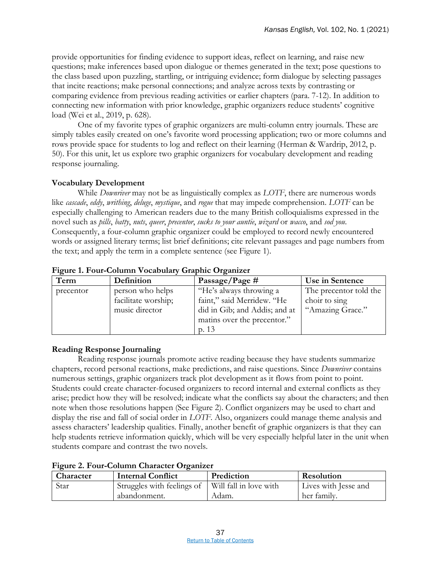provide opportunities for finding evidence to support ideas, reflect on learning, and raise new questions; make inferences based upon dialogue or themes generated in the text; pose questions to the class based upon puzzling, startling, or intriguing evidence; form dialogue by selecting passages that incite reactions; make personal connections; and analyze across texts by contrasting or comparing evidence from previous reading activities or earlier chapters (para. 7-12). In addition to connecting new information with prior knowledge, graphic organizers reduce students' cognitive load (Wei et al., 2019, p. 628).

One of my favorite types of graphic organizers are multi-column entry journals. These are simply tables easily created on one's favorite word processing application; two or more columns and rows provide space for students to log and reflect on their learning (Herman & Wardrip, 2012, p. 50). For this unit, let us explore two graphic organizers for vocabulary development and reading response journaling.

### **Vocabulary Development**

While *Downriver* may not be as linguistically complex as *LOTF*, there are numerous words like *cascade*, *eddy*, *writhing*, *deluge*, *mystique*, and *rogue* that may impede comprehension. *LOTF* can be especially challenging to American readers due to the many British colloquialisms expressed in the novel such as *pills*, *batty*, *nuts*, *queer*, *precentor*, *sucks to your auntie*, *wizard* or *wacco*, and *sod you*. Consequently, a four-column graphic organizer could be employed to record newly encountered words or assigned literary terms; list brief definitions; cite relevant passages and page numbers from the text; and apply the term in a complete sentence (see Figure 1).

| Term      | Definition          | Passage/Page $#$              | Use in Sentence        |
|-----------|---------------------|-------------------------------|------------------------|
| precentor | person who helps    | "He's always throwing a       | The precentor told the |
|           | facilitate worship; | faint," said Merridew. "He    | choir to sing          |
|           | music director      | did in Gib; and Addis; and at | "Amazing Grace."       |
|           |                     | matins over the precentor."   |                        |
|           |                     | p. 13                         |                        |

### **Figure 1. Four-Column Vocabulary Graphic Organizer**

### **Reading Response Journaling**

Reading response journals promote active reading because they have students summarize chapters, record personal reactions, make predictions, and raise questions. Since *Downriver* contains numerous settings, graphic organizers track plot development as it flows from point to point. Students could create character-focused organizers to record internal and external conflicts as they arise; predict how they will be resolved; indicate what the conflicts say about the characters; and then note when those resolutions happen (See Figure 2). Conflict organizers may be used to chart and display the rise and fall of social order in *LOTF*. Also, organizers could manage theme analysis and assess characters' leadership qualities. Finally, another benefit of graphic organizers is that they can help students retrieve information quickly, which will be very especially helpful later in the unit when students compare and contrast the two novels.

| The the 2010 Continued Character Organizer |                                                     |            |                      |
|--------------------------------------------|-----------------------------------------------------|------------|----------------------|
| Character                                  | <b>Internal Conflict</b>                            | Prediction | Resolution           |
| Star                                       | Struggles with feelings of   Will fall in love with |            | Lives with Jesse and |
|                                            | abandonment.                                        | Adam.      | her family.          |

### **Figure 2. Four-Column Character Organizer**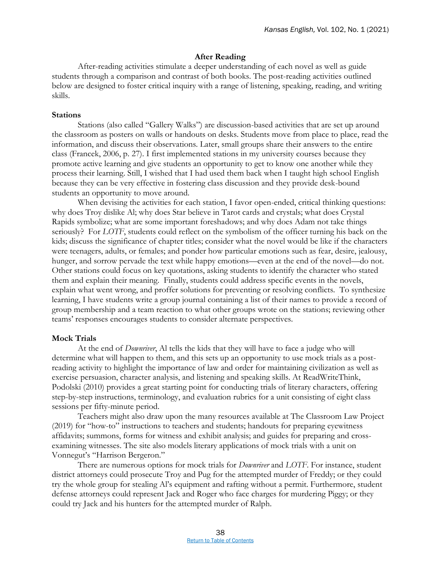### **After Reading**

After-reading activities stimulate a deeper understanding of each novel as well as guide students through a comparison and contrast of both books. The post-reading activities outlined below are designed to foster critical inquiry with a range of listening, speaking, reading, and writing skills.

### **Stations**

Stations (also called "Gallery Walks") are discussion-based activities that are set up around the classroom as posters on walls or handouts on desks. Students move from place to place, read the information, and discuss their observations. Later, small groups share their answers to the entire class (Francek, 2006, p. 27). I first implemented stations in my university courses because they promote active learning and give students an opportunity to get to know one another while they process their learning. Still, I wished that I had used them back when I taught high school English because they can be very effective in fostering class discussion and they provide desk-bound students an opportunity to move around.

When devising the activities for each station, I favor open-ended, critical thinking questions: why does Troy dislike Al; why does Star believe in Tarot cards and crystals; what does Crystal Rapids symbolize; what are some important foreshadows; and why does Adam not take things seriously? For *LOTF*, students could reflect on the symbolism of the officer turning his back on the kids; discuss the significance of chapter titles; consider what the novel would be like if the characters were teenagers, adults, or females; and ponder how particular emotions such as fear, desire, jealousy, hunger, and sorrow pervade the text while happy emotions—even at the end of the novel—do not. Other stations could focus on key quotations, asking students to identify the character who stated them and explain their meaning. Finally, students could address specific events in the novels, explain what went wrong, and proffer solutions for preventing or resolving conflicts. To synthesize learning, I have students write a group journal containing a list of their names to provide a record of group membership and a team reaction to what other groups wrote on the stations; reviewing other teams' responses encourages students to consider alternate perspectives.

### **Mock Trials**

At the end of *Downriver*, Al tells the kids that they will have to face a judge who will determine what will happen to them, and this sets up an opportunity to use mock trials as a postreading activity to highlight the importance of law and order for maintaining civilization as well as exercise persuasion, character analysis, and listening and speaking skills. At ReadWriteThink, Podolski (2010) provides a great starting point for conducting trials of literary characters, offering step-by-step instructions, terminology, and evaluation rubrics for a unit consisting of eight class sessions per fifty-minute period.

Teachers might also draw upon the many resources available at The Classroom Law Project (2019) for "how-to" instructions to teachers and students; handouts for preparing eyewitness affidavits; summons, forms for witness and exhibit analysis; and guides for preparing and crossexamining witnesses. The site also models literary applications of mock trials with a unit on Vonnegut's "Harrison Bergeron."

There are numerous options for mock trials for *Downriver* and *LOTF*. For instance, student district attorneys could prosecute Troy and Pug for the attempted murder of Freddy; or they could try the whole group for stealing Al's equipment and rafting without a permit. Furthermore, student defense attorneys could represent Jack and Roger who face charges for murdering Piggy; or they could try Jack and his hunters for the attempted murder of Ralph.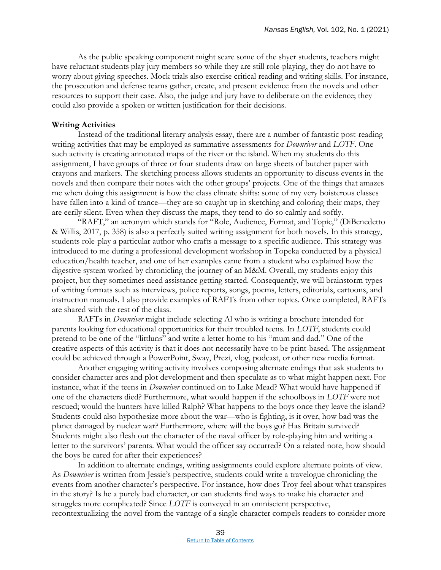As the public speaking component might scare some of the shyer students, teachers might have reluctant students play jury members so while they are still role-playing, they do not have to worry about giving speeches. Mock trials also exercise critical reading and writing skills. For instance, the prosecution and defense teams gather, create, and present evidence from the novels and other resources to support their case. Also, the judge and jury have to deliberate on the evidence; they could also provide a spoken or written justification for their decisions.

### **Writing Activities**

Instead of the traditional literary analysis essay, there are a number of fantastic post-reading writing activities that may be employed as summative assessments for *Downriver* and *LOTF*. One such activity is creating annotated maps of the river or the island. When my students do this assignment, I have groups of three or four students draw on large sheets of butcher paper with crayons and markers. The sketching process allows students an opportunity to discuss events in the novels and then compare their notes with the other groups' projects. One of the things that amazes me when doing this assignment is how the class climate shifts: some of my very boisterous classes have fallen into a kind of trance—they are so caught up in sketching and coloring their maps, they are eerily silent. Even when they discuss the maps, they tend to do so calmly and softly.

"RAFT," an acronym which stands for "Role, Audience, Format, and Topic," (DiBenedetto & Willis, 2017, p. 358) is also a perfectly suited writing assignment for both novels. In this strategy, students role-play a particular author who crafts a message to a specific audience. This strategy was introduced to me during a professional development workshop in Topeka conducted by a physical education/health teacher, and one of her examples came from a student who explained how the digestive system worked by chronicling the journey of an M&M. Overall, my students enjoy this project, but they sometimes need assistance getting started. Consequently, we will brainstorm types of writing formats such as interviews, police reports, songs, poems, letters, editorials, cartoons, and instruction manuals. I also provide examples of RAFTs from other topics. Once completed, RAFTs are shared with the rest of the class.

RAFTs in *Downriver* might include selecting Al who is writing a brochure intended for parents looking for educational opportunities for their troubled teens. In *LOTF*, students could pretend to be one of the "littluns" and write a letter home to his "mum and dad." One of the creative aspects of this activity is that it does not necessarily have to be print-based. The assignment could be achieved through a PowerPoint, Sway, Prezi, vlog, podcast, or other new media format.

Another engaging writing activity involves composing alternate endings that ask students to consider character arcs and plot development and then speculate as to what might happen next. For instance, what if the teens in *Downriver* continued on to Lake Mead? What would have happened if one of the characters died? Furthermore, what would happen if the schoolboys in *LOTF* were not rescued; would the hunters have killed Ralph? What happens to the boys once they leave the island? Students could also hypothesize more about the war—who is fighting, is it over, how bad was the planet damaged by nuclear war? Furthermore, where will the boys go? Has Britain survived? Students might also flesh out the character of the naval officer by role-playing him and writing a letter to the survivors' parents. What would the officer say occurred? On a related note, how should the boys be cared for after their experiences?

In addition to alternate endings, writing assignments could explore alternate points of view. As *Downriver* is written from Jessie's perspective, students could write a travelogue chronicling the events from another character's perspective. For instance, how does Troy feel about what transpires in the story? Is he a purely bad character, or can students find ways to make his character and struggles more complicated? Since *LOTF* is conveyed in an omniscient perspective, recontextualizing the novel from the vantage of a single character compels readers to consider more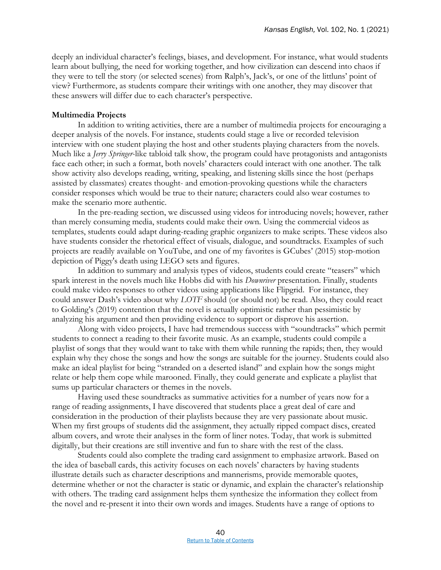deeply an individual character's feelings, biases, and development. For instance, what would students learn about bullying, the need for working together, and how civilization can descend into chaos if they were to tell the story (or selected scenes) from Ralph's, Jack's, or one of the littluns' point of view? Furthermore, as students compare their writings with one another, they may discover that these answers will differ due to each character's perspective.

### **Multimedia Projects**

In addition to writing activities, there are a number of multimedia projects for encouraging a deeper analysis of the novels. For instance, students could stage a live or recorded television interview with one student playing the host and other students playing characters from the novels. Much like a *Jerry Springer*-like tabloid talk show, the program could have protagonists and antagonists face each other; in such a format, both novels' characters could interact with one another. The talk show activity also develops reading, writing, speaking, and listening skills since the host (perhaps assisted by classmates) creates thought- and emotion-provoking questions while the characters consider responses which would be true to their nature; characters could also wear costumes to make the scenario more authentic.

In the pre-reading section, we discussed using videos for introducing novels; however, rather than merely consuming media, students could make their own. Using the commercial videos as templates, students could adapt during-reading graphic organizers to make scripts. These videos also have students consider the rhetorical effect of visuals, dialogue, and soundtracks. Examples of such projects are readily available on YouTube, and one of my favorites is GCubes' (2015) stop-motion depiction of Piggy's death using LEGO sets and figures.

In addition to summary and analysis types of videos, students could create "teasers" which spark interest in the novels much like Hobbs did with his *Downriver* presentation. Finally, students could make video responses to other videos using applications like Flipgrid. For instance, they could answer Dash's video about why *LOTF* should (or should not) be read. Also, they could react to Golding's (2019) contention that the novel is actually optimistic rather than pessimistic by analyzing his argument and then providing evidence to support or disprove his assertion.

Along with video projects, I have had tremendous success with "soundtracks" which permit students to connect a reading to their favorite music. As an example, students could compile a playlist of songs that they would want to take with them while running the rapids; then, they would explain why they chose the songs and how the songs are suitable for the journey. Students could also make an ideal playlist for being "stranded on a deserted island" and explain how the songs might relate or help them cope while marooned. Finally, they could generate and explicate a playlist that sums up particular characters or themes in the novels.

Having used these soundtracks as summative activities for a number of years now for a range of reading assignments, I have discovered that students place a great deal of care and consideration in the production of their playlists because they are very passionate about music. When my first groups of students did the assignment, they actually ripped compact discs, created album covers, and wrote their analyses in the form of liner notes. Today, that work is submitted digitally, but their creations are still inventive and fun to share with the rest of the class.

Students could also complete the trading card assignment to emphasize artwork. Based on the idea of baseball cards, this activity focuses on each novels' characters by having students illustrate details such as character descriptions and mannerisms, provide memorable quotes, determine whether or not the character is static or dynamic, and explain the character's relationship with others. The trading card assignment helps them synthesize the information they collect from the novel and re-present it into their own words and images. Students have a range of options to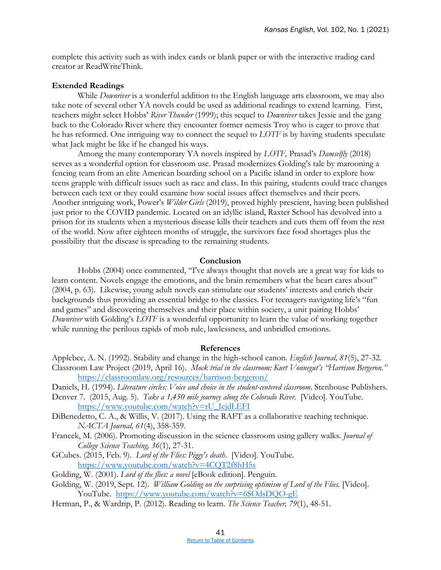complete this activity such as with index cards or blank paper or with the interactive trading card creator at ReadWriteThink.

### **Extended Readings**

While *Downriver* is a wonderful addition to the English language arts classroom, we may also take note of several other YA novels could be used as additional readings to extend learning. First, teachers might select Hobbs' *River Thunder* (1999); this sequel to *Downriver* takes Jessie and the gang back to the Colorado River where they encounter former nemesis Troy who is eager to prove that he has reformed. One intriguing way to connect the sequel to *LOTF* is by having students speculate what Jack might be like if he changed his ways.

Among the many contemporary YA novels inspired by *LOTF,* Prasad's *Damselfly* (2018) serves as a wonderful option for classroom use. Prasad modernizes Golding's tale by marooning a fencing team from an elite American boarding school on a Pacific island in order to explore how teens grapple with difficult issues such as race and class. In this pairing, students could trace changes between each text or they could examine how social issues affect themselves and their peers. Another intriguing work, Power's *Wilder Girls* (2019), proved highly prescient, having been published just prior to the COVID pandemic. Located on an idyllic island, Raxter School has devolved into a prison for its students when a mysterious disease kills their teachers and cuts them off from the rest of the world. Now after eighteen months of struggle, the survivors face food shortages plus the possibility that the disease is spreading to the remaining students.

### **Conclusion**

Hobbs (2004) once commented, "I've always thought that novels are a great way for kids to learn content. Novels engage the emotions, and the brain remembers what the heart cares about" (2004, p. 63). Likewise, young adult novels can stimulate our students' interests and enrich their backgrounds thus providing an essential bridge to the classics. For teenagers navigating life's "fun and games" and discovering themselves and their place within society, a unit pairing Hobbs' *Downriver* with Golding's *LOTF* is a wonderful opportunity to learn the value of working together while running the perilous rapids of mob rule, lawlessness, and unbridled emotions.

#### **References**

- Applebee, A. N. (1992). Stability and change in the high-school canon. *English Journal, 81*(5), 27-32. Classroom Law Project (2019, April 16). *Mock trial in the classroom: Kurt Vonnegut's "Harrison Bergeron."* <https://classroomlaw.org/resources/harrison-bergeron/>
- Daniels, H. (1994). *Literature circles: Voice and choice in the student-centered classroom*. Stenhouse Publishers.
- Denver 7. (2015, Aug. 5). *Take a 1,450 mile journey along the Colorado River*. [Video]. YouTube. [https://www.youtube.com/watch?v=rU\\_IcjdLEFI](https://www.youtube.com/watch?v=rU_IcjdLEFI)
- DiBenedetto, C. A., & Willis, V. (2017). Using the RAFT as a collaborative teaching technique. *NACTA Journal, 61*(4), 358-359.
- Francek, M. (2006). Promoting discussion in the science classroom using gallery walks. *Journal of College Science Teaching, 36*(1), 27-31.
- GCubes. (2015, Feb. 9). *Lord of the Flies: Piggy's death*. [Video]. YouTube. <https://www.youtube.com/watch?v=4CQT2f8hH5s>
- Golding, W. (2001). *Lord of the flies: a novel* [eBook edition]. Penguin.
- Golding, W. (2019, Sept. 12). *William Golding on the surprising optimism of Lord of the Flies.* [Video]. YouTube. <https://www.youtube.com/watch?v=6SOdsDQO-gE>
- Herman, P., & Wardrip, P. (2012). Reading to learn. *The Science Teacher, 79*(1), 48-51.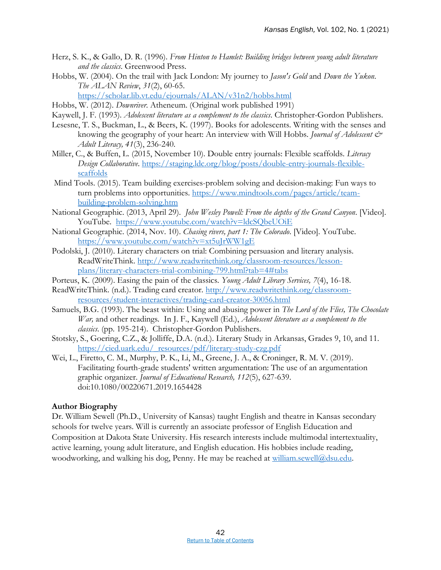- Herz, S. K., & Gallo, D. R. (1996). *From Hinton to Hamlet: Building bridges between young adult literature and the classics*. Greenwood Press.
- Hobbs, W. (2004). On the trail with Jack London: My journey to *Jason's Gold* and *Down the Yukon*. *The ALAN Review*, *31*(2), 60-65.

<https://scholar.lib.vt.edu/ejournals/ALAN/v31n2/hobbs.html>

- Hobbs, W. (2012). *Downriver*. Atheneum. (Original work published 1991)
- Kaywell, J. F. (1993). *Adolescent literature as a complement to the classics*. Christopher-Gordon Publishers.
- Lesesne, T. S., Buckman, L., & Beers, K. (1997). Books for adolescents. Writing with the senses and knowing the geography of your heart: An interview with Will Hobbs. *Journal of Adolescent & Adult Literacy, 41*(3), 236-240.
- Miller, C., & Buffen, L. (2015, November 10). Double entry journals: Flexible scaffolds. *Literacy Design Collaborative*. [https://staging.ldc.org/blog/posts/double-entry-journals-flexible](https://staging.ldc.org/blog/posts/double-entry-journals-flexible-scaffolds)[scaffolds](https://staging.ldc.org/blog/posts/double-entry-journals-flexible-scaffolds)
- Mind Tools. (2015). Team building exercises-problem solving and decision-making: Fun ways to turn problems into opportunities. [https://www.mindtools.com/pages/article/team](https://www.mindtools.com/pages/article/team-building-problem-solving.htm)[building-problem-solving.htm](https://www.mindtools.com/pages/article/team-building-problem-solving.htm)
- National Geographic. (2013, April 29). *John Wesley Powell: From the depths of the Grand Canyon*. [Video]. YouTube. <https://www.youtube.com/watch?v=ldcSQbeUOiE>
- National Geographic. (2014, Nov. 10). *Chasing rivers, part 1: The Colorado*. [Video]. YouTube. <https://www.youtube.com/watch?v=xt5uJrWW1gE>
- Podolski, J. (2010). Literary characters on trial: Combining persuasion and literary analysis. ReadWriteThink. [http://www.readwritethink.org/classroom-resources/lesson](http://www.readwritethink.org/classroom-resources/lesson-plans/literary-characters-trial-combining-799.html?tab=4#tabs)[plans/literary-characters-trial-combining-799.html?tab=4#tabs](http://www.readwritethink.org/classroom-resources/lesson-plans/literary-characters-trial-combining-799.html?tab=4#tabs)
- Porteus, K. (2009). Easing the pain of the classics. *Young Adult Library Services, 7*(4), 16-18.
- ReadWriteThink. (n.d.). Trading card creator. [http://www.readwritethink.org/classroom](http://www.readwritethink.org/classroom-resources/student-interactives/trading-card-creator-30056.html)[resources/student-interactives/trading-card-creator-30056.html](http://www.readwritethink.org/classroom-resources/student-interactives/trading-card-creator-30056.html)
- Samuels, B.G. (1993). The beast within: Using and abusing power in *The Lord of the Flies, The Chocolate War,* and other readings*.* In J. F., Kaywell (Ed.), *Adolescent literature as a complement to the classics*. (pp. 195-214). Christopher-Gordon Publishers.
- Stotsky, S., Goering, C.Z., & Jolliffe, D.A. (n.d.). Literary Study in Arkansas, Grades 9, 10, and 11. [https://cied.uark.edu/\\_resources/pdf/literary-study-czg.pdf](https://cied.uark.edu/_resources/pdf/literary-study-czg.pdf)
- Wei, L., Firetto, C. M., Murphy, P. K., Li, M., Greene, J. A., & Croninger, R. M. V. (2019). Facilitating fourth-grade students' written argumentation: The use of an argumentation graphic organizer. *Journal of Educational Research, 112*(5), 627-639. doi:10.1080/00220671.2019.1654428

### **Author Biography**

Dr. William Sewell (Ph.D., University of Kansas) taught English and theatre in Kansas secondary schools for twelve years. Will is currently an associate professor of English Education and Composition at Dakota State University. His research interests include multimodal intertextuality, active learning, young adult literature, and English education. His hobbies include reading, woodworking, and walking his dog, Penny. He may be reached at [william.sewell@dsu.edu.](mailto:william.sewell@dsu.edu)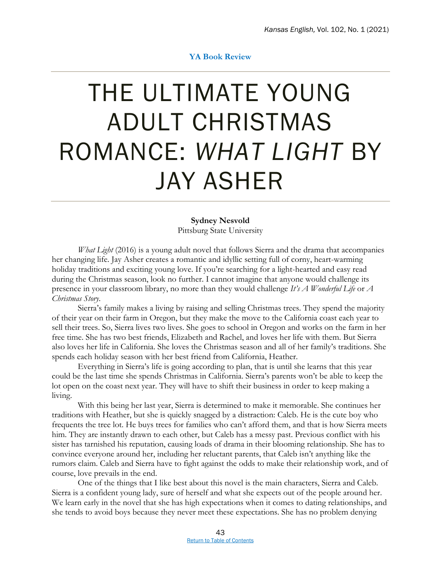### **YA Book Review**

### <span id="page-47-0"></span>THE ULTIMATE YOUNG ADULT CHRISTMAS ROMANCE: *WHAT LIGHT* BY JAY ASHER

### **Sydney Nesvold**

Pittsburg State University

*What Light* (2016) is a young adult novel that follows Sierra and the drama that accompanies her changing life. Jay Asher creates a romantic and idyllic setting full of corny, heart-warming holiday traditions and exciting young love. If you're searching for a light-hearted and easy read during the Christmas season, look no further. I cannot imagine that anyone would challenge its presence in your classroom library, no more than they would challenge *It's A Wonderful Life* or *A Christmas Story*.

Sierra's family makes a living by raising and selling Christmas trees. They spend the majority of their year on their farm in Oregon, but they make the move to the California coast each year to sell their trees. So, Sierra lives two lives. She goes to school in Oregon and works on the farm in her free time. She has two best friends, Elizabeth and Rachel, and loves her life with them. But Sierra also loves her life in California. She loves the Christmas season and all of her family's traditions. She spends each holiday season with her best friend from California, Heather.

Everything in Sierra's life is going according to plan, that is until she learns that this year could be the last time she spends Christmas in California. Sierra's parents won't be able to keep the lot open on the coast next year. They will have to shift their business in order to keep making a living.

With this being her last year, Sierra is determined to make it memorable. She continues her traditions with Heather, but she is quickly snagged by a distraction: Caleb. He is the cute boy who frequents the tree lot. He buys trees for families who can't afford them, and that is how Sierra meets him. They are instantly drawn to each other, but Caleb has a messy past. Previous conflict with his sister has tarnished his reputation, causing loads of drama in their blooming relationship. She has to convince everyone around her, including her reluctant parents, that Caleb isn't anything like the rumors claim. Caleb and Sierra have to fight against the odds to make their relationship work, and of course, love prevails in the end.

One of the things that I like best about this novel is the main characters, Sierra and Caleb. Sierra is a confident young lady, sure of herself and what she expects out of the people around her. We learn early in the novel that she has high expectations when it comes to dating relationships, and she tends to avoid boys because they never meet these expectations. She has no problem denying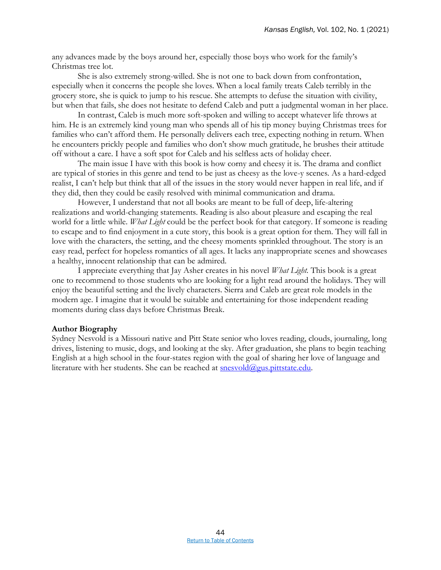any advances made by the boys around her, especially those boys who work for the family's Christmas tree lot.

She is also extremely strong-willed. She is not one to back down from confrontation, especially when it concerns the people she loves. When a local family treats Caleb terribly in the grocery store, she is quick to jump to his rescue. She attempts to defuse the situation with civility, but when that fails, she does not hesitate to defend Caleb and putt a judgmental woman in her place.

In contrast, Caleb is much more soft-spoken and willing to accept whatever life throws at him. He is an extremely kind young man who spends all of his tip money buying Christmas trees for families who can't afford them. He personally delivers each tree, expecting nothing in return. When he encounters prickly people and families who don't show much gratitude, he brushes their attitude off without a care. I have a soft spot for Caleb and his selfless acts of holiday cheer.

The main issue I have with this book is how corny and cheesy it is. The drama and conflict are typical of stories in this genre and tend to be just as cheesy as the love-y scenes. As a hard-edged realist, I can't help but think that all of the issues in the story would never happen in real life, and if they did, then they could be easily resolved with minimal communication and drama.

However, I understand that not all books are meant to be full of deep, life-altering realizations and world-changing statements. Reading is also about pleasure and escaping the real world for a little while. *What Light* could be the perfect book for that category. If someone is reading to escape and to find enjoyment in a cute story, this book is a great option for them. They will fall in love with the characters, the setting, and the cheesy moments sprinkled throughout. The story is an easy read, perfect for hopeless romantics of all ages. It lacks any inappropriate scenes and showcases a healthy, innocent relationship that can be admired.

I appreciate everything that Jay Asher creates in his novel *What Light.* This book is a great one to recommend to those students who are looking for a light read around the holidays. They will enjoy the beautiful setting and the lively characters. Sierra and Caleb are great role models in the modern age. I imagine that it would be suitable and entertaining for those independent reading moments during class days before Christmas Break.

### **Author Biography**

Sydney Nesvold is a Missouri native and Pitt State senior who loves reading, clouds, journaling, long drives, listening to music, dogs, and looking at the sky. After graduation, she plans to begin teaching English at a high school in the four-states region with the goal of sharing her love of language and literature with her students. She can be reached at **snesvold@gus.pittstate.edu**.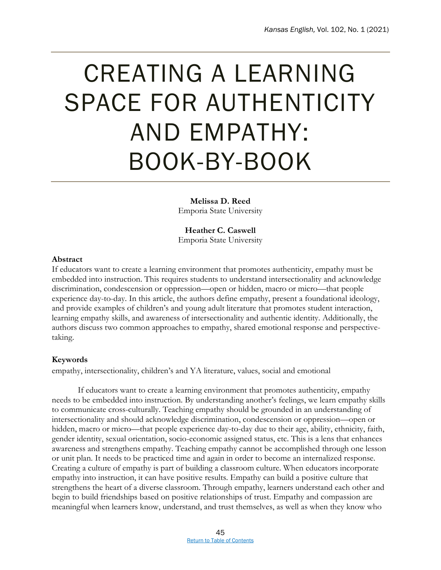### <span id="page-49-0"></span>CREATING A LEARNING SPACE FOR AUTHENTICITY AND EMPATHY: BOOK-BY-BOOK

**Melissa D. Reed** Emporia State University

**Heather C. Caswell** Emporia State University

### **Abstract**

If educators want to create a learning environment that promotes authenticity, empathy must be embedded into instruction. This requires students to understand intersectionality and acknowledge discrimination, condescension or oppression—open or hidden, macro or micro—that people experience day-to-day. In this article, the authors define empathy, present a foundational ideology, and provide examples of children's and young adult literature that promotes student interaction, learning empathy skills, and awareness of intersectionality and authentic identity. Additionally, the authors discuss two common approaches to empathy, shared emotional response and perspectivetaking.

### **Keywords**

empathy, intersectionality, children's and YA literature, values, social and emotional

If educators want to create a learning environment that promotes authenticity, empathy needs to be embedded into instruction. By understanding another's feelings, we learn empathy skills to communicate cross-culturally. Teaching empathy should be grounded in an understanding of intersectionality and should acknowledge discrimination, condescension or oppression—open or hidden, macro or micro—that people experience day-to-day due to their age, ability, ethnicity, faith, gender identity, sexual orientation, socio-economic assigned status, etc. This is a lens that enhances awareness and strengthens empathy. Teaching empathy cannot be accomplished through one lesson or unit plan. It needs to be practiced time and again in order to become an internalized response. Creating a culture of empathy is part of building a classroom culture. When educators incorporate empathy into instruction, it can have positive results. Empathy can build a positive culture that strengthens the heart of a diverse classroom. Through empathy, learners understand each other and begin to build friendships based on positive relationships of trust. Empathy and compassion are meaningful when learners know, understand, and trust themselves, as well as when they know who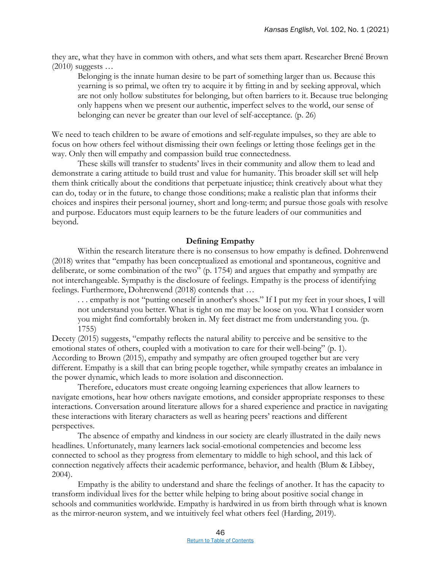they are, what they have in common with others, and what sets them apart. Researcher Brené Brown  $(2010)$  suggests ...

Belonging is the innate human desire to be part of something larger than us. Because this yearning is so primal, we often try to acquire it by fitting in and by seeking approval, which are not only hollow substitutes for belonging, but often barriers to it. Because true belonging only happens when we present our authentic, imperfect selves to the world, our sense of belonging can never be greater than our level of self-acceptance. (p. 26)

We need to teach children to be aware of emotions and self-regulate impulses, so they are able to focus on how others feel without dismissing their own feelings or letting those feelings get in the way. Only then will empathy and compassion build true connectedness.

These skills will transfer to students' lives in their community and allow them to lead and demonstrate a caring attitude to build trust and value for humanity. This broader skill set will help them think critically about the conditions that perpetuate injustice; think creatively about what they can do, today or in the future, to change those conditions; make a realistic plan that informs their choices and inspires their personal journey, short and long-term; and pursue those goals with resolve and purpose. Educators must equip learners to be the future leaders of our communities and beyond.

### **Defining Empathy**

Within the research literature there is no consensus to how empathy is defined. Dohrenwend (2018) writes that "empathy has been conceptualized as emotional and spontaneous, cognitive and deliberate, or some combination of the two" (p. 1754) and argues that empathy and sympathy are not interchangeable. Sympathy is the disclosure of feelings. Empathy is the process of identifying feelings. Furthermore, Dohrenwend (2018) contends that …

. . . empathy is not "putting oneself in another's shoes." If I put my feet in your shoes, I will not understand you better. What is tight on me may be loose on you. What I consider worn you might find comfortably broken in. My feet distract me from understanding you. (p. 1755)

Decety (2015) suggests, "empathy reflects the natural ability to perceive and be sensitive to the emotional states of others, coupled with a motivation to care for their well-being" (p. 1). According to Brown (2015), empathy and sympathy are often grouped together but are very different. Empathy is a skill that can bring people together, while sympathy creates an imbalance in the power dynamic, which leads to more isolation and disconnection.

Therefore, educators must create ongoing learning experiences that allow learners to navigate emotions, hear how others navigate emotions, and consider appropriate responses to these interactions. Conversation around literature allows for a shared experience and practice in navigating these interactions with literary characters as well as hearing peers' reactions and different perspectives.

The absence of empathy and kindness in our society are clearly illustrated in the daily news headlines. Unfortunately, many learners lack social-emotional competencies and become less connected to school as they progress from elementary to middle to high school, and this lack of connection negatively affects their academic performance, behavior, and health (Blum & Libbey, 2004).

Empathy is the ability to understand and share the feelings of another. It has the capacity to transform individual lives for the better while helping to bring about positive social change in schools and communities worldwide. Empathy is hardwired in us from birth through what is known as the mirror-neuron system, and we intuitively feel what others feel (Harding, 2019).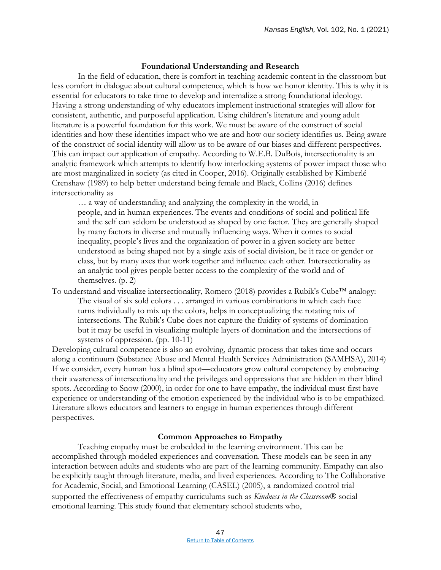### **Foundational Understanding and Research**

In the field of education, there is comfort in teaching academic content in the classroom but less comfort in dialogue about cultural competence, which is how we honor identity. This is why it is essential for educators to take time to develop and internalize a strong foundational ideology. Having a strong understanding of why educators implement instructional strategies will allow for consistent, authentic, and purposeful application. Using children's literature and young adult literature is a powerful foundation for this work. We must be aware of the construct of social identities and how these identities impact who we are and how our society identifies us. Being aware of the construct of social identity will allow us to be aware of our biases and different perspectives. This can impact our application of empathy. According to W.E.B. DuBois, intersectionality is an analytic framework which attempts to identify how interlocking systems of power impact those who are most marginalized in society (as cited in Cooper, 2016). Originally established by Kimberlé Crenshaw (1989) to help better understand being female and Black, Collins (2016) defines intersectionality as

… a way of understanding and analyzing the complexity in the world, in people, and in human experiences. The events and conditions of social and political life and the self can seldom be understood as shaped by one factor. They are generally shaped by many factors in diverse and mutually influencing ways. When it comes to social inequality, people's lives and the organization of power in a given society are better understood as being shaped not by a single axis of social division, be it race or gender or class, but by many axes that work together and influence each other. Intersectionality as an analytic tool gives people better access to the complexity of the world and of themselves. (p. 2)

To understand and visualize intersectionality, Romero (2018) provides a Rubik's Cube<sup>TM</sup> analogy: The visual of six sold colors . . . arranged in various combinations in which each face turns individually to mix up the colors, helps in conceptualizing the rotating mix of intersections. The Rubik's Cube does not capture the fluidity of systems of domination but it may be useful in visualizing multiple layers of domination and the intersections of systems of oppression. (pp. 10-11)

Developing cultural competence is also an evolving, dynamic process that takes time and occurs along a continuum (Substance Abuse and Mental Health Services Administration (SAMHSA), 2014) If we consider, every human has a blind spot—educators grow cultural competency by embracing their awareness of intersectionality and the privileges and oppressions that are hidden in their blind spots. According to Snow (2000), in order for one to have empathy, the individual must first have experience or understanding of the emotion experienced by the individual who is to be empathized. Literature allows educators and learners to engage in human experiences through different perspectives.

### **Common Approaches to Empathy**

Teaching empathy must be embedded in the learning environment. This can be accomplished through modeled experiences and conversation. These models can be seen in any interaction between adults and students who are part of the learning community. Empathy can also be explicitly taught through literature, media, and lived experiences. According to The Collaborative for Academic, Social, and Emotional Learning (CASEL) (2005), a randomized control trial supported the effectiveness of empathy curriculums such as *Kindness in the Classroom®* social emotional learning. This study found that elementary school students who,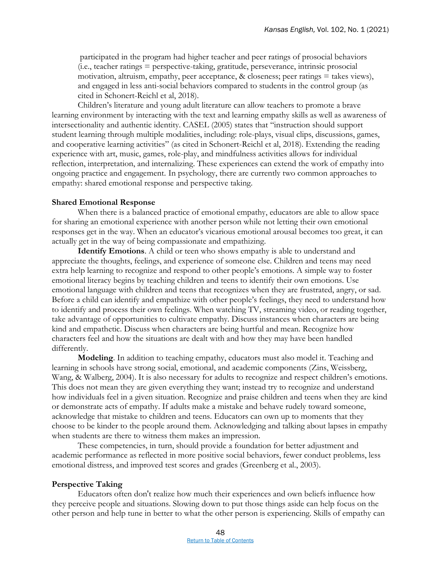participated in the program had higher teacher and peer ratings of prosocial behaviors (i.e., teacher ratings = perspective-taking, gratitude, perseverance, intrinsic prosocial motivation, altruism, empathy, peer acceptance, & closeness; peer ratings = takes views), and engaged in less anti-social behaviors compared to students in the control group (as cited in Schonert-Reichl et al, 2018).

Children's literature and young adult literature can allow teachers to promote a brave learning environment by interacting with the text and learning empathy skills as well as awareness of intersectionality and authentic identity. CASEL (2005) states that "instruction should support student learning through multiple modalities, including: role-plays, visual clips, discussions, games, and cooperative learning activities" (as cited in Schonert-Reichl et al, 2018). Extending the reading experience with art, music, games, role-play, and mindfulness activities allows for individual reflection, interpretation, and internalizing. These experiences can extend the work of empathy into ongoing practice and engagement. In psychology, there are currently two common approaches to empathy: shared emotional response and perspective taking.

### **Shared Emotional Response**

When there is a balanced practice of emotional empathy, educators are able to allow space for sharing an emotional experience with another person while not letting their own emotional responses get in the way. When an educator's vicarious emotional arousal becomes too great, it can actually get in the way of being compassionate and empathizing.

**Identify Emotions**. A child or teen who shows empathy is able to understand and appreciate the thoughts, feelings, and experience of someone else. Children and teens may need extra help learning to recognize and respond to other people's emotions. A simple way to foster emotional literacy begins by teaching children and teens to identify their own emotions. Use emotional language with children and teens that recognizes when they are frustrated, angry, or sad. Before a child can identify and empathize with other people's feelings, they need to understand how to identify and process their own feelings. When watching TV, streaming video, or reading together, take advantage of opportunities to cultivate empathy. Discuss instances when characters are being kind and empathetic. Discuss when characters are being hurtful and mean. Recognize how characters feel and how the situations are dealt with and how they may have been handled differently.

**Modeling**. In addition to teaching empathy, educators must also model it. Teaching and learning in schools have strong social, emotional, and academic components (Zins, Weissberg, Wang, & Walberg, 2004). It is also necessary for adults to recognize and respect children's emotions. This does not mean they are given everything they want; instead try to recognize and understand how individuals feel in a given situation. Recognize and praise children and teens when they are kind or demonstrate acts of empathy. If adults make a mistake and behave rudely toward someone, acknowledge that mistake to children and teens. Educators can own up to moments that they choose to be kinder to the people around them. Acknowledging and talking about lapses in empathy when students are there to witness them makes an impression.

These competencies, in turn, should provide a foundation for better adjustment and academic performance as reflected in more positive social behaviors, fewer conduct problems, less emotional distress, and improved test scores and grades (Greenberg et al., 2003).

### **Perspective Taking**

Educators often don't realize how much their experiences and own beliefs influence how they perceive people and situations. Slowing down to put those things aside can help focus on the other person and help tune in better to what the other person is experiencing. Skills of empathy can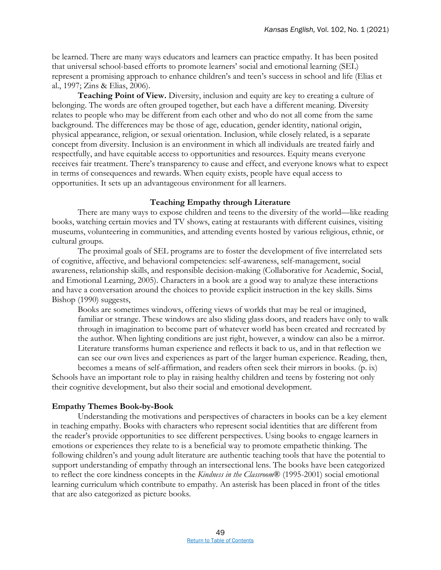be learned. There are many ways educators and learners can practice empathy. It has been posited that universal school-based efforts to promote learners' social and emotional learning (SEL) represent a promising approach to enhance children's and teen's success in school and life (Elias et al., 1997; Zins & Elias, 2006).

**Teaching Point of View.** Diversity, inclusion and equity are key to creating a culture of belonging. The words are often grouped together, but each have a different meaning. Diversity relates to people who may be different from each other and who do not all come from the same background. The differences may be those of age, education, gender identity, national origin, physical appearance, religion, or sexual orientation. Inclusion, while closely related, is a separate concept from diversity. Inclusion is an environment in which all individuals are treated fairly and respectfully, and have equitable access to opportunities and resources. Equity means everyone receives fair treatment. There's transparency to cause and effect, and everyone knows what to expect in terms of consequences and rewards. When equity exists, people have equal access to opportunities. It sets up an advantageous environment for all learners.

### **Teaching Empathy through Literature**

There are many ways to expose children and teens to the diversity of the world—like reading books, watching certain movies and TV shows, eating at restaurants with different cuisines, visiting museums, volunteering in communities, and attending events hosted by various religious, ethnic, or cultural groups.

The proximal goals of SEL programs are to foster the development of five interrelated sets of cognitive, affective, and behavioral competencies: self-awareness, self-management, social awareness, relationship skills, and responsible decision-making (Collaborative for Academic, Social, and Emotional Learning, 2005). Characters in a book are a good way to analyze these interactions and have a conversation around the choices to provide explicit instruction in the key skills. Sims Bishop (1990) suggests,

Books are sometimes windows, offering views of worlds that may be real or imagined, familiar or strange. These windows are also sliding glass doors, and readers have only to walk through in imagination to become part of whatever world has been created and recreated by the author. When lighting conditions are just right, however, a window can also be a mirror. Literature transforms human experience and reflects it back to us, and in that reflection we can see our own lives and experiences as part of the larger human experience. Reading, then,

becomes a means of self-affirmation, and readers often seek their mirrors in books. (p. ix) Schools have an important role to play in raising healthy children and teens by fostering not only their cognitive development, but also their social and emotional development.

### **Empathy Themes Book-by-Book**

Understanding the motivations and perspectives of characters in books can be a key element in teaching empathy. Books with characters who represent social identities that are different from the reader's provide opportunities to see different perspectives. Using books to engage learners in emotions or experiences they relate to is a beneficial way to promote empathetic thinking. The following children's and young adult literature are authentic teaching tools that have the potential to support understanding of empathy through an intersectional lens. The books have been categorized to reflect the core kindness concepts in the *Kindness in the Classroom*® (1995-2001) social emotional learning curriculum which contribute to empathy. An asterisk has been placed in front of the titles that are also categorized as picture books.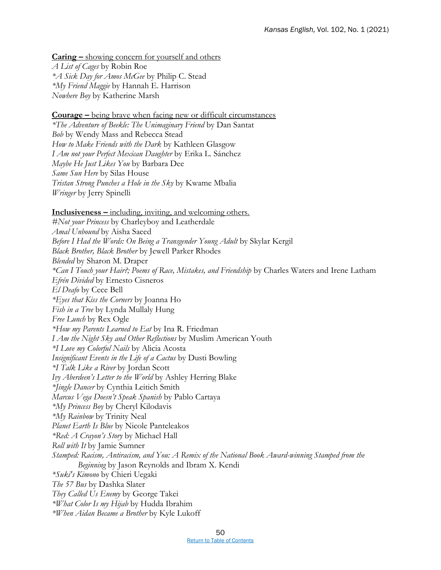**Caring –** showing concern for yourself and others *A List of Cages* by Robin Roe *\*A Sick Day for Amos McGee* by Philip C. Stead *\*My Friend Maggie* by Hannah E. Harrison *Nowhere Boy* by Katherine Marsh

**<u>Courage –** being brave when facing new or difficult circumstances</u>

*\*The Adventure of Beekle: The Unimaginary Friend* by Dan Santat *Bob* by Wendy Mass and Rebecca Stead *How to Make Friends with the Dark* by Kathleen Glasgow *I Am not your Perfect Mexican Daughter* by Erika L. Sánchez *Maybe He Just Likes You* by Barbara Dee *Same Sun Here* by Silas House *Tristan Strong Punches a Hole in the Sky* by Kwame Mbalia *Wringer* by Jerry Spinelli

**Inclusiveness –** including, inviting, and welcoming others.

*#Not your Princess* by Charleyboy and Leatherdale *Amal Unbound* by Aisha Saeed *Before I Had the Words: On Being a Transgender Young Adult* by Skylar Kergil *Black Brother, Black Brother* by Jewell Parker Rhodes *Blended* by Sharon M. Draper *\*Can I Touch your Hair?; Poems of Race, Mistakes, and Friendship* by Charles Waters and Irene Latham *Efrén Divided* by Ernesto Cisneros *El Deafo* by Cece Bell *\*Eyes that Kiss the Corners* by Joanna Ho *Fish in a Tree* by Lynda Mullaly Hung *Free Lunch* by Rex Ogle *\*How my Parents Learned to Eat* by Ina R. Friedman *I Am the Night Sky and Other Reflections* by Muslim American Youth *\*I Love my Colorful Nails* by Alicia Acosta *Insignificant Events in the Life of a Cactus* by Dusti Bowling *\*I Talk Like a River* by Jordan Scott *Ivy Aberdeen's Letter to the World* by Ashley Herring Blake *\*Jingle Dancer* by Cynthia Leitich Smith *Marcus Vega Doesn't Speak Spanish* by Pablo Cartaya *\*My Princess Boy* by Cheryl Kilodavis *\*My Rainbow* by Trinity Neal *Planet Earth Is Blue* by Nicole Panteleakos *\*Red: A Crayon's Story* by Michael Hall *Roll with It* by Jamie Sumner *Stamped: Racism, Antiracism, and You: A Remix of the National Book Award-winning Stamped from the Beginning* by Jason Reynolds and Ibram X. Kendi *\*Suki's Kimono* by Chieri Uegaki *The 57 Bus* by Dashka Slater *They Called Us Enemy* by George Takei *\*What Color Is my Hijab* by Hudda Ibrahim *\*When Aidan Became a Brother* by Kyle Lukoff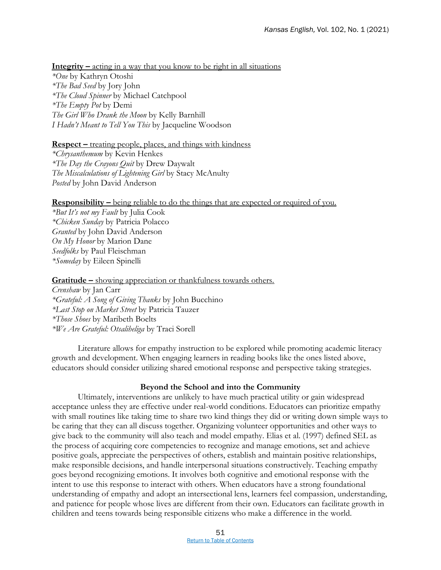**Integrity –** acting in a way that you know to be right in all situations *\*One* by Kathryn Otoshi *\*The Bad Seed* by Jory John *\*The Cloud Spinner* by Michael Catchpool *\*The Empty Pot* by Demi *The Girl Who Drank the Moon* by Kelly Barnhill *I Hadn't Meant to Tell You This* by Jacqueline Woodson

### **Respect** – treating people, places, and things with kindness

*\*Chrysanthemum* by Kevin Henkes *\*The Day the Crayons Quit* by Drew Daywalt *The Miscalculations of Lightening Girl* by Stacy McAnulty *Posted* by John David Anderson

### **Responsibility –** being reliable to do the things that are expected or required of you.

*\*But It's not my Fault* by Julia Cook *\*Chicken Sunday* by Patricia Polacco *Granted* by John David Anderson *On My Honor* by Marion Dane *Seedfolks* by Paul Fleischman *\*Someday* by Eileen Spinelli

### **Gratitude –** showing appreciation or thankfulness towards others.

*Crenshaw* by Jan Carr *\*Grateful: A Song of Giving Thanks* by John Bucchino *\*Last Stop on Market Street* by Patricia Tauzer *\*Those Shoes* by Maribeth Boelts *\*We Are Grateful: Otsaliheliga* by Traci Sorell

Literature allows for empathy instruction to be explored while promoting academic literacy growth and development. When engaging learners in reading books like the ones listed above, educators should consider utilizing shared emotional response and perspective taking strategies.

### **Beyond the School and into the Community**

Ultimately, interventions are unlikely to have much practical utility or gain widespread acceptance unless they are effective under real-world conditions. Educators can prioritize empathy with small routines like taking time to share two kind things they did or writing down simple ways to be caring that they can all discuss together. Organizing volunteer opportunities and other ways to give back to the community will also teach and model empathy. Elias et al. (1997) defined SEL as the process of acquiring core competencies to recognize and manage emotions, set and achieve positive goals, appreciate the perspectives of others, establish and maintain positive relationships, make responsible decisions, and handle interpersonal situations constructively. Teaching empathy goes beyond recognizing emotions. It involves both cognitive and emotional response with the intent to use this response to interact with others. When educators have a strong foundational understanding of empathy and adopt an intersectional lens, learners feel compassion, understanding, and patience for people whose lives are different from their own. Educators can facilitate growth in children and teens towards being responsible citizens who make a difference in the world.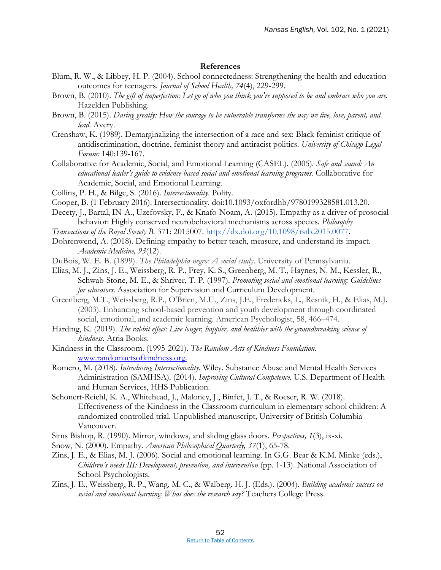### **References**

- Blum, R. W., & Libbey, H. P. (2004). School connectedness: Strengthening the health and education outcomes for teenagers. *Journal of School Health, 74*(4), 229-299.
- Brown, B. (2010). *The gift of imperfection: Let go of who you think you're supposed to be and embrace who you are.*  Hazelden Publishing.
- Brown, B. (2015). *Daring greatly: How the courage to be vulnerable transforms the way we live, love, parent, and lead.* Avery.
- Crenshaw, K. (1989). Demarginalizing the intersection of a race and sex: Black feminist critique of antidiscrimination, doctrine, feminist theory and antiracist politics. *University of Chicago Legal Forum:* 140:139-167.
- Collaborative for Academic, Social, and Emotional Learning (CASEL). (2005). *Safe and sound: An educational leader's guide to evidence-based social and emotional learning programs.* Collaborative for Academic, Social, and Emotional Learning.
- Collins, P. H., & Bilge, S. (2016). *Intersectionality*. Polity.
- Cooper, B. (1 February 2016). Intersectionality. doi:10.1093/oxfordhb/9780199328581.013.20.
- Decety, J., Bartal, IN-A., Uzefovsky, F., & Knafo-Noam, A. (2015). Empathy as a driver of prosocial behavior: Highly conserved neurobehavioral mechanisms across species. *Philosophy*
- *Transactions of the Royal Society B.* 371: 2015007. [http://dx.doi.org/10.1098/rstb.2015.0077.](http://dx.doi.org/10.1098/rstb.2015.0077)
- Dohrenwend, A. (2018). Defining empathy to better teach, measure, and understand its impact. *Academic Medicine, 93*(12).
- DuBois, W. E. B. (1899). *The Philadelphia negro: A social study*. University of Pennsylvania.
- Elias, M. J., Zins, J. E., Weissberg, R. P., Frey, K. S., Greenberg, M. T., Haynes, N. M., Kessler, R., Schwab-Stone, M. E., & Shriver, T. P. (1997). *Promoting social and emotional learning: Guidelines for educators*. Association for Supervision and Curriculum Development.
- Greenberg, M.T., Weissberg, R.P., O'Brien, M.U., Zins, J.E., Fredericks, L., Resnik, H., & Elias, M.J. (2003). Enhancing school-based prevention and youth development through coordinated social, emotional, and academic learning. American Psychologist, 58, 466–474.
- Harding, K. (2019). *The rabbit effect: Live longer, happier, and healthier with the groundbreaking science of kindness.* Atria Books.
- Kindness in the Classroom. (1995-2021). *The Random Acts of Kindness Foundation.* [www.randomactsofkindness.org.](http://www.randomactsofkindness.org/)
- Romero, M. (2018). *Introducing Intersectionality*. Wiley. Substance Abuse and Mental Health Services Administration (SAMHSA). (2014). *Improving Cultural Competence.* U.S. Department of Health and Human Services, HHS Publication.
- Schonert-Reichl, K. A., Whitehead, J., Maloney, J., Binfet, J. T., & Roeser, R. W. (2018). Effectiveness of the Kindness in the Classroom curriculum in elementary school children: A randomized controlled trial. Unpublished manuscript, University of British Columbia-Vancouver.
- Sims Bishop, R. (1990). Mirror, windows, and sliding glass doors. *Perspectives, 1*(3), ix-xi.
- Snow, N. (2000). Empathy. *American Philosophical Quarterly, 37*(1), 65-78.
- Zins, J. E., & Elias, M. J. (2006). Social and emotional learning. In G.G. Bear & K.M. Minke (eds.), *Children's needs III: Development, prevention, and intervention* (pp. 1-13). National Association of School Psychologists.
- Zins, J. E., Weissberg, R. P., Wang, M. C., & Walberg. H. J. (Eds.). (2004)*. Building academic success on social and emotional learning: What does the research say?* Teachers College Press.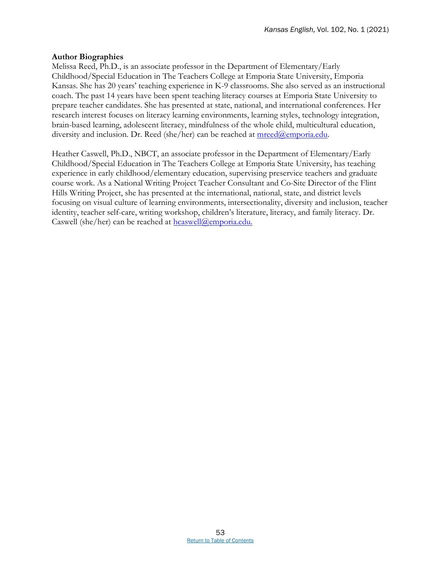### **Author Biographies**

Melissa Reed, Ph.D., is an associate professor in the Department of Elementary/Early Childhood/Special Education in The Teachers College at Emporia State University, Emporia Kansas. She has 20 years' teaching experience in K-9 classrooms. She also served as an instructional coach. The past 14 years have been spent teaching literacy courses at Emporia State University to prepare teacher candidates. She has presented at state, national, and international conferences. Her research interest focuses on literacy learning environments, learning styles, technology integration, brain-based learning, adolescent literacy, mindfulness of the whole child, multicultural education, diversity and inclusion. Dr. Reed (she/her) can be reached at  $\text{mreed}(\theta)$ emporia.edu.

Heather Caswell, Ph.D., NBCT, an associate professor in the Department of Elementary/Early Childhood/Special Education in The Teachers College at Emporia State University, has teaching experience in early childhood/elementary education, supervising preservice teachers and graduate course work. As a National Writing Project Teacher Consultant and Co-Site Director of the Flint Hills Writing Project, she has presented at the international, national, state, and district levels focusing on visual culture of learning environments, intersectionality, diversity and inclusion, teacher identity, teacher self-care, writing workshop, children's literature, literacy, and family literacy. Dr. Caswell (she/her) can be reached at [hcaswell@emporia.edu.](mailto:hcaswell@emporia.edu)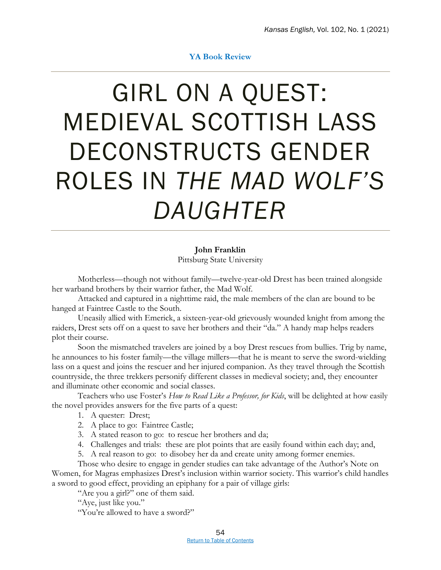### **YA Book Review**

### <span id="page-58-0"></span>GIRL ON A QUEST: MEDIEVAL SCOTTISH LASS DECONSTRUCTS GENDER ROLES IN *THE MAD WOLF'S DAUGHTER*

**John Franklin** Pittsburg State University

Motherless—though not without family—twelve-year-old Drest has been trained alongside her warband brothers by their warrior father, the Mad Wolf.

Attacked and captured in a nighttime raid, the male members of the clan are bound to be hanged at Faintree Castle to the South.

Uneasily allied with Emerick, a sixteen-year-old grievously wounded knight from among the raiders, Drest sets off on a quest to save her brothers and their "da." A handy map helps readers plot their course.

Soon the mismatched travelers are joined by a boy Drest rescues from bullies. Trig by name, he announces to his foster family—the village millers—that he is meant to serve the sword-wielding lass on a quest and joins the rescuer and her injured companion. As they travel through the Scottish countryside, the three trekkers personify different classes in medieval society; and, they encounter and illuminate other economic and social classes.

Teachers who use Foster's *How to Read Like a Professor, for Kids*, will be delighted at how easily the novel provides answers for the five parts of a quest:

- 1. A quester: Drest;
- 2. A place to go: Faintree Castle;
- 3. A stated reason to go: to rescue her brothers and da;
- 4. Challenges and trials: these are plot points that are easily found within each day; and,
- 5. A real reason to go: to disobey her da and create unity among former enemies.

Those who desire to engage in gender studies can take advantage of the Author's Note on Women, for Magras emphasizes Drest's inclusion within warrior society. This warrior's child handles a sword to good effect, providing an epiphany for a pair of village girls:

"Are you a girl?" one of them said.

"Aye, just like you."

"You're allowed to have a sword?"